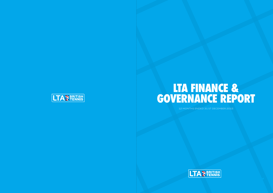12 MONTHS ENDED 31 ST DECEMBER 2015







# **LTA FINANCE & GOVERNANCE REPORT**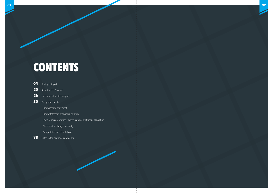# **CONTENTS**

- **26** Independent auditors' report
- **30** Group statements
	- Group income statement
	- Group statement of financial position
	- Lawn Tennis Association Limited statement of financial position
	- Statement of changes in equity
	- Group statement of cash flows
- **38** Notes to the financial statements

| 04 | <b>Strategic Report</b> |
|----|-------------------------|
| 20 | Report of the Directors |
| 26 | Independent auditors' r |
| 30 | <b>Group statements</b> |

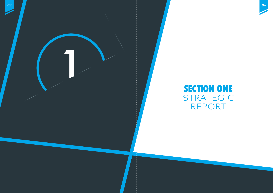



# **SECTION ONE** STRATEGIC REPORT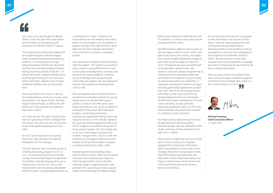British Tennis Awards to celebrate the work of volunteers, as well as many other people involved in British Tennis.

Our fifth business objective was to work out the best ways to deliver tennis in the 7,000 park courts across the country. Our target was to prove reliable operational models for parks that would be ready for roll-out in 2016. Throughout the year we worked with local authorities, leisure trusts, sole operators and club outreach programmes to understand which operating models are most effective. In addition, we put in place 34 partnerships with local authorities, a significant contribution towards our target of having partnership agreements in place that cover 70% of all community venues with three or more courts by 2018. By demonstrating the financial and health benefits that proper management of tennis courts can bring, we also unlocked significant funding for tennis. In 2015 the local authorities we worked with invested £1.2million in tennis provision.

With successes at the very highest levels and a strong first year of delivering against our British Tennis Strategic Plan, there is a our British Termis Strategy<br>lot to look forward to in 2016.

Our final business objective was to ensure we delivered all of the above with a balanced budget. We over-delivered on this target, achieving a financial profit for the year of £1.2 million.

These business objectives were our priority areas of focus during 2015. However, alongside this activity we continued to deliver and improve on other areas of our Strategic Plan which include Major Events, High Performance and Marketing and Promotion. Further information about our impact in these areas can be found in the LTA Annual Review and in the Finance Review which follows.

As we move into 2016 we aim to capitalise on this momentum, but we can't do this alone. There are many people across the country that are passionate about delivering tennis to new audiences and we are grateful to them for their willingness to work together for the benefit of British Tennis. We will continue to work with everyone who has the expertise, knowledge and reach to help bring the sport that we all love to many more people.



**Michael Downey Chief Executive Officer** 27 April 2016

2015 was a very special year for British Tennis. It was the year that Great Britain won the Davis Cup, becoming world champions for the first time in 79 years.

That momentous achievement topped off an exceptional year for British players, which included Andy Murray finishing as world No.2, Johanna Konta and Kyle Edmund breaking into the top 50 women and top 100 men respectively and Jamie Murray becoming doubles world No.7. In wheelchair tennis, Jordanne Whiley had a stunning year winning no less than four Grand Slam titles, adding to the US Open wheelchair doubles title won by Gordon Reid.

Fans responded to this success. We saw record attendances at two of our grass court tournaments, The Aegon Classic and The Aegon Championships, as well as the ATP World Tour Finals and sell-out stadia for each Davis Cup tie.

2015 was also the first year of putting the new four year British Tennis Strategic Plan into action. This plan has one core mission: to get more people playing tennis more often.

For 2015 we set ourselves six business objectives, each designed to build the foundations for the strategy.

The first objective was to achieve growth in monthly and weekly players in 2015 vs 2014, as measured by the Active People Survey. The December figures showed that the number of people playing tennis on a weekly basis is now at 445,200 (a 16% improvement over the previous December) and the number of people playing tennis on a monthly basis is now 730,800 (a 5% improvement over the previous December). Whilst it is promising to see the number of players moving in the right direction, other data that we track indicates that there is more to be done to achieve sustainable growth.

The second was to improve club satisfaction with LTA support. The support we provide to clubs comes in many different forms such as new product development, licensing, safe and inclusive tennis guidance, expertise, access to facility loans and grants and online help and support. We were pleased to see that club satisfaction improved from 43% to 48%.

The next objective was to develop and test recreational competition formats for young people and to accelerate Park League growth, so that we can offer juniors and adults the informal, fun, social competition environment they crave. We made good progress, researching and testing recreational competition formats which are ready for roll-out in 2016. We also signed a four year partnership agreement with Local Tennis Leagues to accelerate the growth of these popular leagues. Our 2015 target was to set up 10 new leagues and grow the number of players from 3,500 to 5,000. We achieved 16 new leagues (taking the total number to 89) and the number of players currently stands at just under 5,000.

Developing and disseminating a best practice plan to recruit, retain and recognise volunteers was a key business objective which recognised the critical role that volunteers play in supporting tennis. We achieved this, launching an online support toolkit and introducing the flagship Aegon

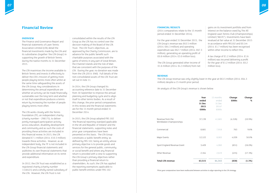#### **OVERVIEW**

The Finance and Governance Report and financial statements of Lawn Tennis Association Limited (LTA) detail the financial investments made by the LTA and its subsidiaries (together 'the LTA Group') in supporting the growth of British Tennis during the twelve months to 31 December 2015.

The LTA maximises the income available to British Tennis and invests it effectively to deliver the LTA's mission of getting more people playing tennis more often whilst at the same time safeguarding the assets of the LTA Group. Key considerations in determining the annual expenditure are whether an activity can be made financially sustainable over the long term and whether or not that expenditure produces a tennis return by increasing the number of people playing tennis more often.

The LTA works closely with the Tennis Foundation (TF), an independent charity (charity number – 298175), to deliver jointly managed participation activity across education, disability development and community and as such the costs of providing these activities are included in this financial review. In 2015, the LTA donated £7.1 million (2014: £10.3 million) towards these activities. However, as an independent body, the TF is not included in the LTA Group financial statements and publishes its own financial statements that provide additional information on its remit and expenditure.

In 2012, the LTA Trust was established as a registered charity (charity number 1148421) and a wholly owned subsidiary of the LTA. However, the LTA Trust is not

consolidated within the results of the LTA Group as the LTA has no control over the decision making of the Board of the LTA Trust. The LTA Trust's objectives, as approved by the Charity Commission, are to advance for the public benefit such charitable purposes associated with the game of tennis in any part of Great Britain, the Channel Islands and the Isle of Man that are consistent with the purposes of the LTA. During the year, no donation was made from the LTA (2014: £Nil). Full details of the non-consolidated assets of the LTA Trust are set out in note 11.

In 2014, the LTA Group changed its accounting reference date to 31 December from 30 September to improve the annual planning and budgeting cycle and to align itself to other tennis bodies. As a result of this change, the prior period comparatives in this review and the financial statements are for the 15 month period ended 31 December 2014.

In 2015, the LTA Group adopted FRS 102 'the financial reporting standard applicable in the UK and Republic of Ireland' and the financial statements, supporting notes and prior year comparatives have been presented on this basis. The LTA Group constitutes a 'public benefit entity' as defined by FRS 102, being an entity whose primary objective is to provide goods and services for the general public, community or social benefit and where any financial return is provided with a view to supporting the LTA Group's primary objectives rather than providing a financial return to shareholders. As such, the LTA has applied the reporting exemptions applicable to public benefit entities under FRS 102.



#### **FINANCIAL RESULTS**

(2014 comparatives relate to the 15 month period ended 31 December 2014).

For the year ended 31 December 2015, the LTA Group's revenue was £63.5 million (2014: £64.3 million) and operating expenditure was £62.7 million (2014: £67.3 million), generating an operating profit of £0.8 million (2014: £3.0 million loss).

The LTA Group generated other income of £1.6 million (2014: £4.3 million) from net gains on its investment portfolio and from interest on the balance owed by The All England Lawn Tennis Club (Championships) Limited ("AELTC"). Investments have been revalued at fair value at 31 December 2015 in accordance with FRS102 and £0.1m (2014: £1.7 million) has been recognised within other income to reflect this.

A tax charge of £1.2 million (2014: £1.6 million) was incurred delivering a profit for the year of £1.2 million (2014: £0.2 million loss).

#### **REVENUE**

The LTA Group revenue was only slightly lower in the year at £63.5 million (2014: £64.3 million) despite a 15 month prior period.

An analysis of the LTA Group's revenue is shown below:

|                                             | Year<br>ended<br>31 Dec<br>2015<br>£000s | 15 months<br>ended<br>31 Dec<br>2014*<br>£000s | Change<br>£000s | Change<br>% |
|---------------------------------------------|------------------------------------------|------------------------------------------------|-----------------|-------------|
| Revenue from the<br>Wimbledon Championships | 37,139                                   | 41,665                                         | (4, 526)        | $(10.9\%)$  |
| Commercial                                  | 8,681                                    | 7,918                                          | 763             | 9.6%        |
| Major Events                                | 12,122                                   | 8,083                                          | 4,039           | 50.0%       |
| Sport England Revenue Grant                 | 3,409                                    | 4,060                                          | (651)           | $(16.0\%)$  |
| Other Revenue                               | 2,164                                    | 2,619                                          | (455)           | $(17.3\%)$  |
| <b>Total LTA revenue</b>                    | 63,515                                   | 64,345                                         | (830)           | $(1.3\%)$   |

## **Financial Review**

*\*Prior year comparatives have been reallocated between activities to align reporting to the LTA strategy.*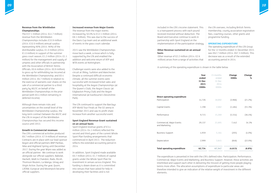#### **Revenue from the Wimbledon Championships**

The £37.1 million (2014: £41.7 million) revenue from the Wimbledon Championships includes £33.9 million (2014: £32.0 million) annual surplus representing 90% (2014: 90%) of the distributable surplus; £1.0 million (2014: £1.0 million) in support of the summer grass court season; £1.2 million (2014: £1.1 million) for the management and supply of umpires and other officials in partnership with the Association of British Tennis Officials; £0.6 million (2014: £0.9 million) to gross up for withholding tax incurred at the Wimbledon Championship; and £0.4 million (2014: £6.7 million) in relation to the exercise of warrants over shares on the sale of a commercial partner to a third party by AELTC on behalf of the Wimbledon Championships in the prior period (with £0.4 million remaining in deferred income).

Although there remain risks and uncertainties on the overall level of the Wimbledon Championship surplus, the long-term contract between the AELTC and the LTA in respect of the Wimbledon Championships has secured this income source until 2053.

#### **Growth in Commercial revenues**

The LTA continued to support the Barclaus ATP World Tour Finals at The O2 arena in November 2015 and saw its profit share increase from another successful event.

The LTA's commercial activities produced £8.7 million (2014: £7.9 million) of revenue. Contracts are in place with our lead sponsor Aegon and official partners BNP Paribas, Nike and Highland Spring until December 2017. During the year Wipro was added as an official partner. We continue to work alongside our official suppliers: Babolat, Hackett, Moët & Chandon, Rado, Ricoh, Thomson Reuters, La Manga, Umag and Virgin Active. During the year, Quorn, LATAM, Europcar and Movenpick became official suppliers.

#### **Increased revenue from Major Events**

The revenue from the major events increased by 50.0% to £12.1 million (2014: £8.1 million). This was due to the success of the Davis Cup team and an additional week of events in the grass court calendar.

2015 saw the Wimbledon Championships move back a week, a move which is fully supported by the LTA and enabled the addition and welcome return of ATP and WTA events at Nottingham.

Challenger events were also added to the circuit at Ilkley, Surbiton and Manchester. Despite a continued difficult economic climate, all the summer events were successful with increased ticket sales and hospitality at the Aegon Championships (at The Queen's Club), the Aegon Classic (at Edgbaston Priory Club) and the Aegon International (at Eastbourne's Devonshire Park).

#### **Sport England Revenue Grant sustained on an annual basis**

Sport England revenue grants of £3.4 million (2014: £4.1 million) reflected the second and third years of the current Whole Sport Plan funding arrangements that commenced in April 2013. The reduction reflects the extended accounting period in 2014.

In addition, Sport England made available £0.7 million (2014: £1.7 million) of capital grants under the Whole Sport Plan for investment in venues across England. This funding is drawn down as it is committed into venues that have asked for help in developing their facilities and is not



included in the LTA's income statement. This is a transparent process with each pound received invested without deduction. The Board and Executive continue to work in partnership with Sport England on the implementation of the participation strategy.

#### **Other Revenue sustained on an annual basis**

Other revenue of £2.2 million (2014: £2.6 million) arises from a range of activities that the LTA oversees, including British Tennis membership, county association registration fees, coaching courses, other grants and programme funding.

#### **OPERATING EXPENDITURE**

The operating expenditure of the LTA Group for the 12 months ended 31 December 2015 was £62.7 million (2014: £67.3 million). This decrease was as a result of the extended accounting period in 2014.

A summary of the operating expenditure is shown in the table below:

**Year ended 31 Dec 2015 £000s**

| Year<br>ended<br>31 Dec<br>2015<br>£000s | 15 months<br>ended<br>31 Dec<br>2014<br>£000s | Change<br>£000s | Change<br>% |
|------------------------------------------|-----------------------------------------------|-----------------|-------------|
| 14,726                                   | 18,692                                        | (3,966)         | $(21.2\%)$  |
| 1,198                                    | 2,682                                         | (1,484)         | $(55.3\%)$  |
| 9,715                                    | 15,269                                        | (5, 554)        | $(36.4\%)$  |
| 29,137                                   | 21,695                                        | 7,442           | 34.3%       |
| 4,959                                    | 5,164                                         | (205)           | $(4.0\%)$   |
| 2,999                                    | 3,845                                         | (846)           | $(22.0\%)$  |
| 62,734                                   | 67,347                                        | (4, 613)        | (6.8%)      |

| <b>Total operating expenditure</b>            | 62,734 | 67,347 | (4, 613) | (6.8%)     |
|-----------------------------------------------|--------|--------|----------|------------|
| Depreciation                                  | 2,999  | 3,845  | (846)    | $(22.0\%)$ |
| <b>Business Support</b>                       | 4,959  | 5,164  | (205)    | $(4.0\%)$  |
| Commercial, Major Events<br>and Marketing     | 29,137 | 21,695 | 7,442    | 34.3%      |
| Performance                                   | 9,715  | 15,269 | (5, 554) | $(36.4\%)$ |
| Capital Grants                                | 1,198  | 2,682  | (1,484)  | $(55.3\%)$ |
| Direct operating expenditure<br>Participation | 14,726 | 18,692 | (3,966)  | $(21.2\%)$ |
|                                               |        |        |          |            |

The expenditure is presented in line with the LTA's defined roles: Participation; Performance; Commercial, Major Events and Marketing; and Business Support. However, these activities are interlinked and support each other in delivering the mission of getting more people playing tennis more often. The allocation assumptions of expenditure to particular areas are therefore intended to give an indication of the relative weight of investment in the different elements.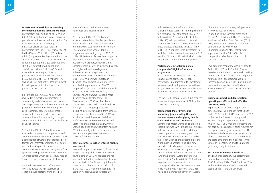**Investment in Participation: Getting more people playing tennis more often** 

Participation expenditure of £14.7 million (2014: £18.7 million) was lower than prior period due to the extended prior period. The investment was on a wide range of initiatives across our focus areas in partnership with the TF. Direct investment by the LTA was £7.6 million (2014: £8.4 million) supplemented by a donation to the TF of £7.1 million (2014: £10.3 million) in support of jointly managed activities and TF's direct support of education and disability activities. Including TF direct expenditure, total expenditure on participation across the LTA and TF was £18.5 million (2014: £21.5 million). The analysis below highlights LTA's investment in participation both directly and in partnership with the TF.

£8.7 million (2014: £10.0 million) was invested in support of participation in community and club environments across an array of activities to drive more people to play tennis more often. We put in place 34 Local Authority framework agreements, designed to open up park tennis courts to communities whilst continuing to support our registered clubs which are the backbone of British Tennis.

£1.7 million (2014: £2.3 million) was invested in recreational competitions and our national competition circuit to establish a competition structure that provides both formal and informal competition for adults and juniors. As part of our focus on recreational competitions, we agreed a four year partnership with Local Tennis Leagues, an organisation which operates fun, regular leagues tennis for players of all standards.

£1.6 million (2014: £2.4 million) was invested across the full spectrum of coaching qualifications from level 1 to master club and performance, coach workshops and coach licensing.

£6.5 million (2014: £6.8 million) was invested in tennis for disabled people and tennis in education. This included £1.8 million (2014: £2.3 million) investment in education with the Schools Tennis programme continuing to grow; 20,512 (2014: 19,169) schools have been supported with free teacher training, resources and equipment in primary, secondary and special schools, as well as further education and higher education colleges and universities since inception of the programme in 2009. A further £4.7 million (2014: £4.5 million) was invested in disability development, disability events and disability performance. The TF supported 44 (2014: 41) disability networks across Great Britain with funding, equipment and training to enable more disabled people to play tennis. In December, the NEC Wheelchair Tennis Masters was successfully staged, and saw 3,200 (2014: 2,200) people attend, including 1,753 (2014:1,150) from schools, colleges and local communities. 2015 was another successful year for disability performance with Jordanne Whiley, Andy Lapthorne and Gordon Reid all winning Grand Slam titles and Great Britain finished 2015 first, jointly with the Netherlands, in the Tennis Europe wheelchair tennis rankings for the first time.

#### **Capital grants: Result orientated facility investment**

Financial support to improve facilities is one way we can help clubs thrive and attract new players. In 2015 we reduced the red tape for loan funding and grant applications and invested £1.2 million of capital grants (2014: £2.7 million) and £3.0 million of loans (2014: £2.1 million) in facilities. In addition we received and invested £0.7

*12*

million (2014: £1.7 million) of Sport England Whole Sport Plan funding resulting in a total investment in facilities of £4.9 million (2014: £6.5 million) to 68 clubs (2014: 43) to improve their courts and facilities. Partnership funding in support of these projects amounted to £11.0 million (2014: £17.9 million). This investment in facilities created 16 new indoor courts, 116 new floodlit courts, 122 refurbished courts, 5 clubhouses and 8 mini tennis projects.

#### **Performance: establishing a 'no compromise' High Performance programme**

A key driver of our Strategic Plan is to establish a 'no compromise' High Performance programme with investment focussed on allocating resources to those players, coaches and venues with the ability to achieve the performance targets set.

The focussed strategy resulted in a reduced investment in performance of £9.7 million (2014: £15.3 million).

## **Commercial, Major Events and Marketing: jump starting the peak summer season and applying best in class marketing and promotion** Commercial, Major Events and Marketing expenditure was £29.1 million (2014: £21.7 million), the increase due to additional Davis Cup ties and the extra grass court week that was added between the end of the French Open and the beginning of the Wimbledon Championships. This new extended calendar gave us a six week window to showcase British grass court tennis to the world and to inspire and excite fans and players. During that time we invested £14.2 million (2014: £9.9 million)

to put on nine tournaments across the country including four new events in new locations, helping reach new fans. 2015 was also a significant year for The Aegon

Championships in its inaugural year as an ATP World Tour 500 event. In addition to the summer grass court season, £10.7 million (2014: £8.3 million) was invested in four Davis Cup ties (2014: two), the Barclays ATP World Tour Finals, officiating at the Wimbledon Championships and other major events, support of the elite British Tennis competition calendar and the cost of servicing sponsors.

Investment in marketing was increased to £4.2 million (2014: £3.5 million) as we invested more time and resource in making tennis more visible to those who might not normally think about tennis. We also increased our online activity, putting more resource than ever before behind our Twitter, Facebook, Instagram and YouTube profiles.

### **Business support and depreciation: operating an efficient and effective Governing Body.**

Expenditure on business support and depreciation of £8.0 million for the year ended 31 December 2015 compares to £9.0 million for the 15 month prior period. Business support expenditure of £5.0 million (2014: £5.2 million) represents the net core business support costs required for the operation and governance of the LTA and covers the business support functions of HR, IT, Finance and Legal together with the costs of running the National Tennis Centre at Roehampton and the national governing body Secretariat.

## **Statement of Financial Position**

The LTA Consolidated Group statement of financial position shows net assets of £145.4 million (2014: £144.2 million). This excludes the independently managed assets of the TF and the LTA Trust.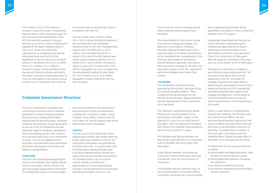£78.9 million (2014: £79.0 million) is invested in long-term assets, including the National Tennis Centre. During the year, the LTA commenced the amortisation of the ATP 500 sanction acquired in the prior period at a cost of £2.1 million following the upgrade of the Aegon Championships in June 2015. These costs have been capitalised as an intangible asset and are being amortised over the life of the agreement to 2022 resulting in a net book value at 31 December 2015 of £1.8 million (2014: £2.1 million). £42.7 million is invested in shares, bonds and other assets by external financial advisers and reflects the Board's decision to hold liquid assets to cover an interruption in the Group's annual income. As at 31 December 2015 external

The net current assets of £66.7 million (2014: £65.6 million) include the balance of the receivable from the Wimbledon Championships for the 2015 Championship surplus of £24.9 million (2014: £16.0 million), the receivable from AELTC in respect of the sale of the All England Lawn Tennis Ground Company (AELTG) of £15.0 million (2014: £20.0 million), net loans to 'places to play' of £7.9 million (2014: £8.6 million) (repayable over up to 10 years) and the development funding for West Hants LTC of £3.6 million (2014: £3.8 million) (repayable in equal instalments over the next 25 years).

investments were revalued to fair value in accordance with FRS 102.



The LTA is committed to managing and conducting its business and its corporate governance to listed company standards and aims to be a leading and forwardlooking national governing body. The Board embraces the principles of good governance as set out in the UK Combined Code with particular regard to integrity, transparency and accountability but also with a view to ensuring value and return on its investment in tennis. The LTA has adopted certain principles associated with good governance, and further information on how these are applied is detailed below.

#### **STRUCTURE**

The LTA is the national governing body for tennis in Great Britain, the Channel Islands and the Isle of Man, and its mission is to get more people playing tennis more often. Its membership consists of various bodies

Council Board Members are elected by Council for a term of three years and may, if re-elected, serve for a second term of three years.

that have an interest in the development and promotion of tennis in Great Britain including the 36 English counties, Tennis Scotland, Tennis Wales, Channel Isles LTA, Isle of Man LTA, The All England Lawn Tennis Club and the Tennis Foundation.

#### **COUNCIL**

The LTA Council is the democratic forum representing counties and certain other key bodies which are members of the LTA. Its composition and powers are governed by the Rules of the LTA\*. It consists (inter alia) of the President, Deputy President and Councillors (representatives elected from many of the various member associations). The Standing Orders\* set out how the Council operates, including the appointment of Council-elected Board members and the elections for the President and Deputy President of the LTA. The

Council met four times in the year and at those meetings received reports from the Board.

The responsibilities of the Council include review of the strategy and budget; and approval of: nominations, including President, Deputy President and Council representatives to the Board; amendments to the Standing Orders; amendments to the LTA Rules (also subject to the Annual General Meeting's approval); subscription fees; any interest charged on LTA loans; and any major changes to the LTA's agreement with the All England Lawn Tennis Club Limited.

#### **THE BOARD**

The composition of the Board is also governed by the Articles\*, the Rules of the LTA\* and the Standing Orders\*. These include the formal procedures for the election of the President, Deputy President and the representatives from Council who sit on the Board.

The Chairman is appointed by the Board, following the recommendation of the Nominations Committee, subject to the approval of Council, for an initial term of four years. With the approval of the Board and Council, the Chairman may continue to serve for up to a further six years.

The President and Deputy President are elected each year and there is a convention that no President will serve longer than three years.

The President and the Chairman may, on the recommendation of the Nominations Committee, nominate one Council member who, if approved by the Board, will be appointed to the Board to serve a maximum unbroken term of six years.

Independent Board Members that are not Council elected or nominated by the President are appointed by the Board, following the recommendation of the Nominations Committee, and reported to Council, for initial terms of three years. With the approval of the Board, they may serve up to two further terms of three years.

The Board has clear terms of reference prescribing its responsibility and role. The functions of the Board are to provide leadership to the LTA, formulate the strategy, objectives and major policies before they are presented to Council and to review and monitor the LTA's operational and financial performance against that strategy and objectives. Further detail on matters reserved for decisions by the Board may be found in the LTA Governance Document.

There is a clear division of responsibility between the Chairman, the President and the Chief Executive Officer. The two executive Board members (being the Chief Executive Officer and the Finance Director) each have a role description and limits of authority. The Board meets a number of times per year in accordance with the Standing Orders. During the year ended 31 December 2015 the Board met five times.

The Board has ten non-executive directors, as follows:

- a) the President and Deputy President, both of whom are elected by the Council;
- b) three independent directors (including the Chairman);
- c) two directors elected by Council;
- d) one director nominated by the President and the Chairman;

## **Corporate Governance Structure**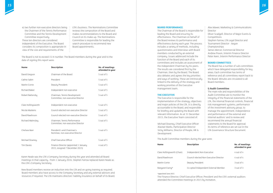e) two further non-executive directors being the Chairmen of the Tennis Performance Committee and the Tennis Development Committee respectively. These ten directors are considered independent of the Executive. The Board considers its composition is appropriate in view of the size and requirements of the

LTA's business. The Nominations Committee reviews the composition of the Board and makes recommendations to the Board and Council on its make-up. The Nominations Committee is responsible for leading the search-procedure to recommend new Board appointments.



The Board is not to exceed 15 in number. The Board members during the year and to the date of signing this report were:

| <b>Name</b>         | <b>Description</b>                                                       | No. of meetings<br>attended in year |
|---------------------|--------------------------------------------------------------------------|-------------------------------------|
| David Gregson       | Chairman of the Board                                                    | 5 out of 5                          |
| Cathie Sabin        | President                                                                | 5 out of 5                          |
| Martin Corrie       | Deputy President                                                         | 5 out of 5                          |
| Richard Baker       | Independent non-executive                                                | 5 out of 5                          |
| Robert Battersby    | Chairman, Tennis Development<br>Committee, non-executive Director        | 5 out of 5                          |
| Clare Hollingsworth | Independent non-executive                                                | 5 out of 5                          |
| Nicola Maskens      | Council-elected non-executive Director                                   | 5 out of 5                          |
| David Rawlinson     | Council-elected non-executive Director                                   | 5 out of 5                          |
| Richard Walmsley    | Chairman, Tennis Performance<br>Committee, non-executive Director        | 5 out of 5                          |
| Chelsea Warr        | President's and Chairman's<br>Nominee, non-executive Director            | 5 out of 5                          |
| Michael Downey      | Chief Executive Officer                                                  | 5 out of 5                          |
| <b>Tim Davies</b>   | Finance Director (appointed 1 January<br>2015, resigned 7 December 2015) | 4 out of 5                          |

Karen Neale was the LTA's Company Secretary during the year and attended all Board meetings in that capacity. From 1 January 2016, Stephen Farrow replaced Karen Neale as the LTA's Company Secretary.

New Board members receive an induction into the LTA and on-going training as required. Board members also have access to the Company Secretary and any external advisors and resources if required. The LTA maintains directors' liability insurance on behalf of its Board.

#### **BOARD PERFORMANCE**

The Chairman of the Board is responsible for leading the Board and ensuring its effectiveness. The Chairman on behalf of the Board reviews its performance and effectiveness during each year. The process includes a variety of methods, including questionnaires and interviews with Board members conducted by an external company. Issues addressed include the function of the Board and each of its committees and includes an assessment of the independent Chairman by his peers. The results are considered first by the Chairman, then by the Board. The Board also debates and agrees the key priorities and ways of working. These are intrinsically linked to the delivery of the strategy and working priorities of the Executive management team.

#### **THE EXECUTIVE**

The Executive is responsible for the implementation of the strategy, objectives and major policies of the LTA. It is directly accountable to the Board, and responsible for briefing and updating the Board with relevant information. As at 31 December 2015, the Executive Team consisted of:

Michael Downey, Chief Executive Officer Alastair Marks, Participation Director Vicky Williams, Director of People, HR & Development

Alex Mawer, Marketing & Communications Director Oliver Scadgell, Director of Major Events & Competitions Stephen Farrow, LTA Legal Director and Tournament Director - Aegon Championships James Mercer, Commercial Director Andrew Poxon, Interim Finance Director Peter Keen, Interim Performance Director

## **BOARD COMMITTEES**

The Board has a number of sub-committees which have delegated responsibility for key areas. Each committee has terms of reference and all committees report back to the Board. Minutes are circulated to all Board members.

## **i) Audit Committee**

The main role and responsibilities of the Audit Committee are to monitor the integrity of the financial statements of the LTA, the internal financial controls, financial risk management systems, performance of the investment advisory group, to manage the appointment, independence and performance of the external and internal auditors' and to review and recommend the annual financial statements to the Board for approval. Its terms of reference are set out in the LTA Governance Structure Document.

# in year

| <b>Name</b>                 | <b>Description</b>                     | No. of meetings<br>attended in year |
|-----------------------------|----------------------------------------|-------------------------------------|
| Clare Hollingsworth (Chair) | Independent Non-Executive              | 4 out of 4                          |
| David Rawlinson             | Council-elected Non-Executive Director | 4 out of 4                          |
| Martin Corrie               | Deputy President                       | $3$ out of 4                        |
| Margaret Ewing*             | Co-opted Independent External Member   | 3 out of 3                          |

*\*appointed June 2015.* 

The Finance Director, Chief Executive Officer, President and the LTA's external auditors attended the Committee meetings in 2015 by invitation.

The Audit Committee members during the year were: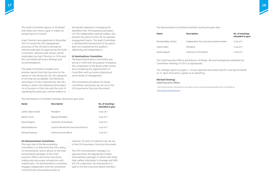

The Audit Committee reports to the Board and meets four times a year. It makes an annual report to Council.

Grant Thornton was appointed in December 2015 to review the risk management processes of the LTA and to develop an internal audit plan for approval by the Audit Committee. Internal audit reviews will be undertaken by Grant Thornton in 2016 and the Committee will assess findings and recommendations.

The Audit Committee considers and receives reports from the Executive on the nature of risks facing the LTA, the categories of risk that are acceptable, the likelihood and impact of risks materialising, the LTA's ability to reduce this likelihood and impact on its business of the risks and the costs of operating the particular controls relative to

the benefit obtained in managing the identified risks. PricewaterhouseCoopers LLP, the independent external auditor, also provides tax advice to the LTA via separate engagement teams. The Audit Committee is satisfied that the provision of tax advice does not compromise the auditor's objectivity and independence.

#### **ii) Nominations Committee**

The Board Nominations Committee was set up in 2009 with the purpose of keeping the composition of the Board under review and considering the appointments of Councillors and succession planning at senior levels of management.

#### **No. of meetings attended in year**

The nomination procedures for board, committees and panels are set out in the LTA Governance Structure Document.

| <b>Name</b>          | <b>Description</b>                     | No. of meetings<br>attended in year |
|----------------------|----------------------------------------|-------------------------------------|
| Cathie Sabin (Chair) | <b>President</b>                       | $3$ out of $3$                      |
| Martin Corrie        | Deputy President                       | $3$ out of $3$                      |
| David Gregson        | Chairman of the Board                  | $3$ out of $3$                      |
| David Rawlinson      | Council-elected Non-Executive Director | $3$ out of $3$                      |
| Michael Downey       | Chief Executive Officer                | 3 out of 3                          |

The Nominations Committee members during the year were:

#### **iii) Remuneration Committee**

The main role of the Remuneration Committee is to determine the LTA's policy on remuneration and to advise on the total remuneration packages of the Chief Executive Officer and senior executives, making any necessary comparisons with market rates. The Remuneration Committee engages independent external consultants to benchmark remuneration levels as

required. Its terms of reference are set out in the LTA Governance Structure Document.

The LTA's remuneration strategy is to pay executives the appropriate market remuneration packages to attract and retain high-calibre individuals to manage and fulfil the LTA's objectives. No remuneration is paid to the Non-Executive Board members.

| <b>Name</b>           | <b>Description</b>                     | No. of me<br>attended |
|-----------------------|----------------------------------------|-----------------------|
| Richard Baker (Chair) | Independent Non-Executive board member | 2 out of 2            |
| Cathie Sabin          | President                              | 2 out of 2            |
| David Gregson         | Chairman of the Board                  | 2 out of 2            |

The Remuneration Committee members during the year were:

The Chief Executive Officer and Director of People, HR and Development attended the Committee meetings in 2015 as appropriate.

The strategic report on pages 4 -18 was approved and authorised for issue by the Board on 27 April 2016 and is signed on its behalf by:

#### *Michael Downey*

#### *Chief Executive Officer*

*\* All of the documents mentioned in this report can be accessed and downloaded via the LTA website at http://www.lta.org.uk/About-Us/.*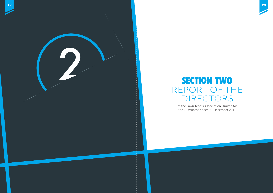

# REPORT OF THE DIRECTORS



of the Lawn Tennis Association Limited for the 12 months ended 31 December 2015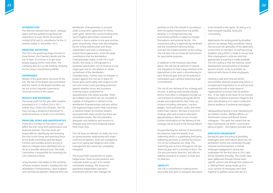#### **INTRODUCTION**

The directors present their report, strategic report and the audited Group financial statements of Lawn Tennis Association Limited (LTA) and its subsidiaries for the 12 months ended 31 December 2015.

#### **PRINCIPAL ACTIVITIES**

The LTA is the governing body of tennis in Great Britain, the Channel Islands and the Isle of Man. Its mission is to get more people playing tennis more often. The Company also acts as the holding company for the Group's investment portfolio.

#### **GOVERNANCE**

Details of the governance structure of the LTA, the role of the Board, key committees and the names of the Board members are set out in the Corporate Governance Structure section of this report.

#### **RESULTS AND DIVIDENDS**

The Group profit for the year after taxation amounted to £1.2 million (2014: £0.2 million loss). Under the LTA Rules, the LTA may not pay a dividend or distribute its retained reserves or funds to its members.

#### **PRINCIPAL RISKS AND UNCERTAINTIES**

There are a number of risks which could affect the LTA's long-term performance and financial position. The Executives are responsible for identifying and reviewing the risks to the Group and reporting these to the Audit Committee and the Board. Controls and suitable actions are put in place to mitigate these identified risks as far as is possible and practical. The Audit Committee is responsible for assessing the LTA's internal controls.

A key business risk relates to the certainty of future revenue streams, notably from the Wimbledon Championships, Sport England and commercial partners. Revenue from the

Wimbledon Championships is secured under a long term agreement for thirty eight years. Whilst the current funding from Sport England and certain commercial partners is due to expire in one year and two years respectively, these risks are mitigated by the strong relationships with these stakeholders and work is underway to extend these agreements. Given the large contribution that the Wimbledon Championships makes to the LTA's total results, the Group is still exposed to a potential catastrophic loss of revenue in any single year due to cancellation or severe curtailment of the Wimbledon Championships. Further steps to mitigate or protect against this risk are in place for future years particularly with respect to the roof over Centre Court providing protection against weather losses and insurance covering major curtailment or abandonment risks where possible. There are isolated risks which are not insurable or capable of mitigation in relation to the Wimbledon Championships and also within LTA organised major events that could have a material impact on revenue streams associated with these events but these are considered remote. The LTA maintains adequate cash balances and reserves to mitigate any short-term financial impact from these risks.

> The LTA is committed to making tennis accessible and open to everyone who wants

Creating a safe and inclusive tennis environment wherever people play tennis is of paramount importance to us and we work in partnership with a wide range of organisations to ensure that we achieve this. It sits right at the heart of our mission, helping to maintain a positive image for the sport and allowing us to reach a wide and diverse audience of potential new players.

The LTA faces an element of credit risk in its on-going business relationship with major commercial partners. Risks are managed as part of on-going due diligence and credit management but cannot be completely mitigated.

The Group holds investments in shares, hedge funds, fixed income products and corporate bonds as part of its overall investment strategy. The Group has appointed independent specialist investment advisers who manage the



portfolio on the LTA's behalf in accordance with the agreed medium/low risk profile. However, it is recognised that any investment portfolio is subject to market fluctuations and external factors. The investment policy is approved by the Board and the Investment Advisory Group oversees the implementation of this policy. The LTA does not use financial instruments for speculative purposes.

In addition to the measures described above, the LTA has an element of natural risk mitigation in that a large element of its expenditure in the sport is discretionary in each financial year and can be reduced in subsequent years without breaching legal commitments.

The risk of non-delivery of our strategy and mission of getting more people playing tennis more often is mitigated through our commitment to working alongside all the people and organisations that share our mission including volunteers, coaches, players, local authorities, clubs, and other Grand Slam nations. We have a long term strategic plan and resources allocated appropriately to deliver on our mission. Further information on the delivery of the strategy can be found in the Annual Report.

As permitted by the Articles of Association, the directors have the benefit of an indemnity which is a qualifying third party indemnity provision as defined by Section 234 of the Companies Act 2006. The indemnity was in force throughout the last financial year and is currently in force. The LTA also purchases directors' and officers' liability insurance in respect of itself and its directors.

#### **EQUALITY**

to be involved in the game. Its policy is to treat everyone equally, fairly and consistently.

Applications for employment by disabled persons are always fully considered, taking into account the aptitudes of the applicants. In the event of members of staff becoming disabled, every effort is made to ensure that their employment continues and that appropriate re-training is made available. The LTA's policy is that the training, career development and promotion of disabled persons should, as far as possible, be identical with those of other employees.

Safeguarding training is now mandatory for accredited coaches, Welfare Officers at Tennismark venues and British Tennis colleagues. This work has meant that we have maintained our NSPCC assessment rating of green – the highest possible level.

#### **EMPLOYEE ENGAGEMENT**

During the year the policy of providing employees with information about the LTA and British Tennis has continued through internal communications. A formal employee engagement survey was undertaken for the first time in 2015 and will be repeated annually. The results have been addressed through formal teamspecific actions and through the creation of a 'Talking Points' group made up of a cross-section of employees who work together to address areas that are of a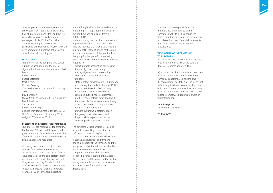company-wide nature. Management and employees meet regularly to allow a free flow of information and ideas and the LTA values the views and involvement of its employees. In 2015, the LTA's values of 'Teamwork, Integrity, Passion and Excellence' were launched together with the development of supporting behaviours in consultation with employees.

#### **DIRECTORS**

The directors of the company who served during the year and up to the date of signing the financial statements are listed below:

Richard Baker Robert Battersby Martin Corrie Michael Downey Clare Hollingsworth (appointed 1 January 2015) David Gregson Nicola Maskens (appointed 1 January 2015) David Rawlinson Cathie Sabin Richard Walmsley Chelsea Warr (appointed 1 January 2015) Tim Davies (appointed 1 January 2015, resigned 7 December 2015)

#### **Statement of directors' responsibilities**

The directors are responsible for preparing the Directors' Report and the group and parent company financial statements (the "financial statements") in accordance with applicable law and regulations.

Company law requires the directors to prepare financial statements for each financial year. Under that law the directors have prepared the financial statements in accordance with applicable law and United Kingdom Accounting Standards (United Kingdom Generally Accepted Accounting Practice), including Financial Reporting Standard 102 The Financial Reporting

Standard Applicable in the UK and Republic of Ireland (FRS 102) (adopted in 2015 for the first time and applicable from 1 October 2013).

Under Company law the directors must not approve the financial statements unless they are satisfied that they give a true and fair view of the state of affairs of the group and the company and of the profit or loss of the group for that period. In preparing these financial statements, the directors are required to:

- select suitable accounting policies and then apply them consistently;
- make judgements and accounting estimates that are reasonable and prudent;
- state whether applicable United Kingdom Accounting Standards, including FRS 102 have been followed, subject to any material departures disclosed and explained in the financial statements;
- notify its shareholders in writing about the use of disclosure exemptions, if any, of FRS 102 used in the preparation of financial statements; and
- prepare the financial statements on the going concern basis unless it is inappropriate to presume that the company will continue in business.

The directors are responsible for keeping adequate accounting records that are sufficient to show and explain the company's transactions and disclose with reasonable accuracy at any time the financial position of the company and the group and enable them to ensure that the financial statements comply with the Companies Act 2006. They are also responsible for safeguarding the assets of the company and the group and hence for taking reasonable steps for the prevention and detection of fraud and other irregularities.



The directors are responsible for the maintenance and integrity of the company's website. Legislation in the United Kingdom governing the preparation and dissemination of financial statements may differ from legislation in other jurisdictions.

#### **DISCLOSURE OF INFORMATION TO AUDITORS**

In accordance with Section 418, in the case of each director in office at the date the directors' report is approved, that:

(a) so far as the director is aware, there is no relevant audit information of which the company's auditors are unaware; and (b) each director has taken all the steps that he/she ought to have taken as a director in order to make himself/herself aware of any relevant audit information and to establish that the company's auditors are aware of that information.

#### *David Gregson*

*On behalf of the Board* 

*27 April 2016*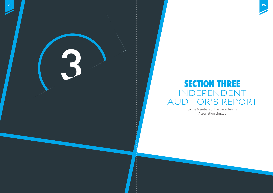

# **SECTION THREE** INDEPENDENT AUDITOR'S REPORT

to the Members of the Lawn Tennis Association Limited

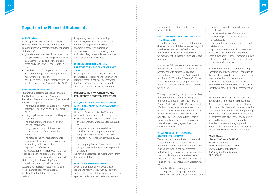#### **OUR OPINION**

In our opinion, Lawn Tennis Association Limited's group financial statements and company financial statements (the "financial statements"):

- give a true and fair view of the state of the group's and of the company's affairs as at 31 December 2015 and of the group's profit and cash flows for the year then ended;
- have been properly prepared in accordance with United Kingdom Generally Accepted Accounting Practice; and
- have been prepared in accordance with the requirements of the Companies Act 2006.

#### **WHAT WE HAVE AUDITED**

The financial statements, included within the LTA Group Finance and Governance Report and financial statements (the "Annual Report"), comprise:

- the group and parent company statements of financial position as at 31 December 2015;
- the group income statement for the year then ended;
- the group statement of cash flows for the year then ended;
- the group and parent statement of changes in equity for the year then ended; and
- the notes to the financial statements, which include a summary of significant accounting policies and other explanatory information.

The financial reporting framework that has been applied in the preparation of the financial statements is applicable law and United Kingdom Accounting Standards (United Kingdom Generally Accepted Accounting Practice), including FRS 102 "The Financial Reporting Standard applicable in the UK and Republic of Ireland".

In applying the financial reporting framework, the directors have made a number of subjective judgements, for example in respect of significant accounting estimates. In making such estimates, they have made assumptions and considered future events.

#### **OPINION ON OTHER MATTERS PRESCRIBED BY THE COMPANIES ACT 2006**

In our opinion, the information given in the Strategic Report and the Report of the Directors for the financial year for which the financial statements are prepared is consistent with the financial statements.

#### **OTHER MATTERS ON WHICH WE ARE REQUIRED TO REPORT BY EXCEPTION**

#### **ADEQUACY OF ACCOUNTING RECORDS AND INFORMATION AND EXPLANATIONS RECEIVED**

Under the Companies Act 2006 we are required to report to you if, in our opinion:

- we have not received all the information and explanations we require for our audit; or
- adequate accounting records have not been kept by the company, or returns adequate for our audit have not been received from branches not visited by us; or
- the company financial statements are not in agreement with the accounting records and returns.

We have no exceptions to report arising from this responsibility.

#### **DIRECTORS' REMUNERATION**

Under the Companies Act 2006 we are required to report to you if, in our opinion, certain disclosures of directors' remuneration specified by law are not made. We have no



exceptions to report arising from this responsibility.

#### **OUR RESPONSIBILITIES AND THOSE OF THE DIRECTORS**

As explained more fully in the Statement of directors' responsibilities set out on page 23, the directors are responsible for the preparation of the financial statements and for being satisfied that they give a true and fair view.

Our responsibility is to audit and express an opinion on the financial statements in accordance with applicable law and International Standards on Auditing (UK and Ireland) ("ISAs (UK & Ireland)"). Those standards require us to comply with the Auditing Practices Board's Ethical Standards for Auditors.

This report, including the opinions, has been prepared for and only for the company's members as a body in accordance with Chapter 3 of Part 16 of the Companies Act 2006 and for no other purpose. We do not, in giving these opinions, accept or assume responsibility for any other purpose or to any other person to whom this report is shown or into whose hands it may come save where expressly agreed by our prior consent in writing.

#### **WHAT AN AUDIT OF FINANCIAL STATEMENTS INVOLVES**

We conducted our audit in accordance with ISAs (UK & Ireland). An audit involves obtaining evidence about the amounts and disclosures in the financial statements sufficient to give reasonable assurance that the financial statements are free from material misstatement, whether caused by fraud or error. This includes an assessment of: • whether the accounting policies are

appropriate to the group's and the company's circumstances and have been

consistently applied and adequately disclosed;

- the reasonableness of significant accounting estimates made by the directors; and
- the overall presentation of the financial statements.

We primarily focus our work in these areas by assessing the directors' judgements against available evidence, forming our own judgements, and evaluating the disclosures in the financial statements.

We test and examine information, using sampling and other auditing techniques, to the extent we consider necessary to provide a reasonable basis for us to draw conclusions. We obtain audit evidence through testing the effectiveness of controls, substantive procedures or a combination of both.

In addition, we read all the financial and non-financial information in the Annual Report to identify material inconsistencies with the audited financial statements and to identify any information that is apparently materially incorrect based on, or materially inconsistent with, the knowledge acquired by us in the course of performing the audit. If we become aware of any apparent material misstatements or inconsistencies we consider the implications for our report.

#### *Philip Stokes*

#### *(Senior Statutory Auditor)*

*for and on behalf of PricewaterhouseCoopers LLP Chartered Accountants and Statutory Auditors. London 27 April 2016*

## **Report on the Financial Statements**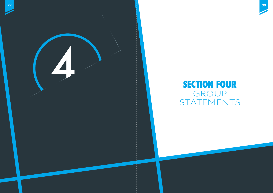

# **SECTION FOUR** GROUP STATEMENTS

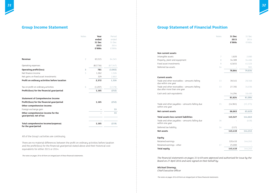|                                                               | <b>Notes</b>   | Year<br>ended<br>31 Dec<br>2015<br>£'000s | Period<br>ended<br>31 Dec<br>2014<br>£'000s |
|---------------------------------------------------------------|----------------|-------------------------------------------|---------------------------------------------|
| <b>Revenue</b>                                                | $\overline{c}$ | 63,515                                    | 64,345                                      |
| Operating expenses                                            |                | (62, 734)                                 | (67, 347)                                   |
| <b>Operating profit/(loss)</b>                                | 3              | 781                                       | (3,002)                                     |
| Net finance income                                            | 5              | 1,262                                     | 1,526                                       |
| Net gains on fixed asset investments                          |                | 329                                       | 2,802                                       |
| Profit on ordinary activities before taxation                 |                | 2,372                                     | 1,326                                       |
| Tax on profit on ordinary activities                          | 6              | (1, 207)                                  | (1, 578)                                    |
| Profit/(loss) for the financial year/period                   |                | 1,165                                     | (252)                                       |
| <b>Statement of Comprehensive Income</b>                      |                |                                           |                                             |
| Profit/(loss) for the financial year/period                   |                | 1,165                                     | (252)                                       |
| Other comprehensive income:                                   |                |                                           |                                             |
| Foreign exchange gain                                         |                |                                           | 33                                          |
| Other comprehensive income for the<br>year/period, net of tax |                |                                           | 33                                          |
| Total comprehensive income/(expense)<br>for the year/period   |                | 1,165                                     | (219)                                       |

All of the Group's activities are continuing.

There are no material differences between the profit on ordinary activities before taxation and the profit/(loss) for the financial year/period stated above and their historical cost equivalents for either 2015 or 2014.

*The notes on pages 39 to 69 form an integral part of these financial statements.*



#### **Non current assets**

Intangible assets Property, plant and equipment Fixed asset investments Deferred tax assets

#### **Current assets**

Trade and other receivables – amounts falling due within one year Trade and other receivables – amounts falling due after more than one year

Cash and cash equivalents

| Notes | 31 Dec    | 31 Dec    |
|-------|-----------|-----------|
|       | 2015      | 2014      |
|       | £'000s    | £'000s    |
|       |           |           |
|       |           |           |
| 7     | 1,820     | 2,080     |
| 8     | 34,389    | 34,466    |
| 9     | 42,655    | 41,523    |
| 14    |           | 965       |
|       | 78,864    | 79,034    |
|       |           |           |
|       |           |           |
| 13    | 39,545    | 28,568    |
| 13    | 27,785    | 34,036    |
|       |           |           |
|       | 14,294    | 18,400    |
|       | 81,624    | 81,004    |
|       |           |           |
| 15    | (14, 961) | (15, 375) |
|       | 66,663    | 65,629    |
|       |           |           |
|       | 145,527   | 144,663   |
| 16    |           | (418)     |
| 14    | (117)     |           |
|       | 145,410   | 144,245   |
|       |           |           |
|       |           |           |
|       | 120,410   | 144,245   |
| 17    | 25,000    |           |
|       | 145,410   | 144,245   |

Trade and other payables – amounts falling due within one year

**Net current assets** 

#### **Total assets less current liabilities 145,527 144,663**

Trade and other payables – amounts falling due within one year

Deferred tax liability

**Net assets** 

#### **Equity**

Retained earnings

Retained earnings - other

**Total equity** 

*The financial statements on pages 31 to 69 were approved and authorised for issue by the Board on 27 April 2016 and were signed on their behalf by:*

*Michael Downey, Chief Executive Officer*

*The notes on pages 39 to 69 form an integral part of these financial statements.*

# **Group Income Statement Group Statement of Financial Position**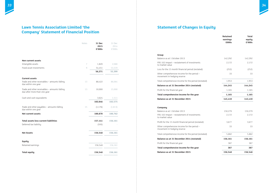# **Lawn Tennis Association Limited 'the Company' Statement of Financial Position**



## **Group** Balance as at 1 October 2013 FRS 102 impact – restatement of investments to market value Loss for the 15 month financial period (restated) Other comprehensive income for the period – movement in hedging reserve Total comprehensive income for the period (restated) **Balance as at 31 December 2014 (restated)** Profit for the financial year **155** Total comprehensive income for the year **Balance as at 31 December 2015 Company** Balance as at 1 October 2013 FRS 102 impact – restatement of investments to market value Profit for the 15 month financial period (restated) Other comprehensive income for the period – movement in hedging reserve Total comprehensive income for the period (restated) **Balance as at 31 December 2014 (restated)** Profit for the financial year **Total comprehensive income for the year 387 387 Balance as at 31 December 2015**

## **Statement of Changes in Equity**

| <b>Total</b><br>equity<br>£'000s | <b>Retained</b><br>earnings<br>£000s |
|----------------------------------|--------------------------------------|
|                                  |                                      |
| 142,292                          | 142,292                              |
| 2,172                            | 2,172                                |
| (252)                            | (252)                                |
| 33                               | 33                                   |
| 1,953                            | 1,953                                |
| 144,245                          | 144,245                              |
| 1,165                            | 1,165                                |
| 1,165                            | 1,165                                |
| 145,410                          | 145,410                              |
|                                  |                                      |
| 150,279                          | 150,279                              |
| 2,172                            | 2,172                                |
| 3,677                            | 3,677                                |
| 33                               | 33                                   |
| 5,882                            | 5,882                                |
| 156,161                          | 156,161                              |
| 387                              | 387                                  |
| 387                              | 387                                  |
| 156,548                          | 156,548                              |

|                                                                               | Notes | 31 Dec<br>2015<br>£'000s | 31 Dec<br>2014<br>£'000s |
|-------------------------------------------------------------------------------|-------|--------------------------|--------------------------|
| Non current assets                                                            |       |                          |                          |
| Intangible assets                                                             | 7     | 1,820                    | 2,080                    |
| Fixed asset investments                                                       | 9     | 54,451                   | 53,319                   |
|                                                                               |       | 56,271                   | 55,399                   |
| <b>Current assets</b>                                                         |       |                          |                          |
| Trade and other receivables - amounts falling<br>due within one year          | 13    | 88,422                   | 86,064                   |
| Trade and other receivables - amounts falling<br>due after more than one year | 13    | 10,000                   | 15,000                   |
| Cash and cash equivalents                                                     |       | 3,624                    | 1,511                    |
|                                                                               |       | 102,046                  | 102,575                  |
| Trade and other payables - amounts falling<br>due within one year             | 15    | (1, 176)                 | (1, 813)                 |
| Net current assets                                                            |       | 100,870                  | 100,762                  |
| Total assets less current liabilities                                         |       | 157,141                  | 156,161                  |
| Deferred tax liability                                                        |       | (593)                    |                          |
| <b>Net Assets</b>                                                             |       | 156,548                  | 156,161                  |
| <b>Equity</b>                                                                 |       |                          |                          |
| Retained earnings                                                             |       | 156,548                  | 156,161                  |
| <b>Total equity</b>                                                           |       | 156,548                  | 156,161                  |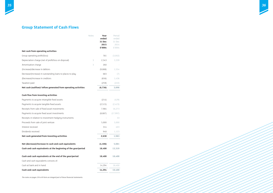



|                                                                | Notes | Year          | Period        |
|----------------------------------------------------------------|-------|---------------|---------------|
|                                                                |       | ended         | ended         |
|                                                                |       | <b>31 Dec</b> | 31 Dec        |
|                                                                |       | 2015          | 2014          |
|                                                                |       | £'000s        | £'000s        |
| Net cash from operating activities                             |       |               |               |
| Group operating profit/(loss)                                  |       | 781           | (3,002)       |
| Depreciation charge (net of profit/loss on disposal)           | 3     | 2,343         | 3,339         |
| Amortisation charge                                            | 3     | 260           |               |
| (Increase)/decrease in debtors                                 |       | (9,888)       | 1,554         |
| Decrease/(increase) in outstanding loans to places to play     |       | 683           | (7)           |
| (Decrease)/increase in creditors                               |       | (656)         | 1,436         |
| Taxation paid                                                  |       | (259)         | (222)         |
| Net cash (outflow)/ inflow generated from operating activities |       | (6, 736)      | 3,098         |
|                                                                |       |               |               |
| Cash flow from investing activities                            |       |               |               |
| Payments to acquire intangible fixed assets                    |       | (214)         | (429)         |
| Payments to acquire tangible fixed assets                      |       | (2, 515)      | (2,423)       |
| Receipts from sale of fixed asset investments                  |       | 7,984         | 16,273        |
| Payments to acquire fixed asset investments                    |       | (8,887)       | (17, 997)     |
| Receipts in relation to investment hedging instruments         |       |               | 33            |
| Proceeds from sale of joint venture                            |       | 5,000         | 5,000         |
| Interest received                                              |       | 314           | 403           |
| Dividends received                                             |       | 948           | 1,123         |
| Net cash generated from investing activities                   |       | 2,630         | 1,983         |
| Net (decrease)/increase in cash and cash equivalents           |       | (4, 106)      | 5,081         |
| Cash and cash equivalents at the beginning of the year/period  |       | 18,400        | 13,319        |
| Cash and cash equivalents at the end of the year/period        |       | 18,400        | 18,400        |
| Cash and cash equivalents consists of:                         |       |               |               |
| Cash at bank and in hand                                       |       |               | 14,294 18,400 |
| <b>Cash and cash equivalents</b>                               |       |               | 14,294 18,400 |

 $\sim$ 

# **Group Statement of Cash Flows**

*The notes on pages 39 to 69 form an integral part of these financial statements.*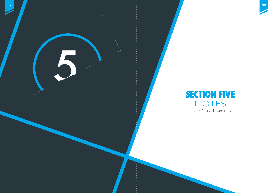

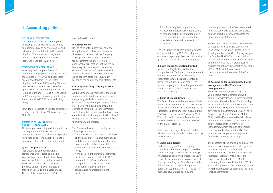

#### **GENERAL INFORMATION**

Lawn Tennis Association Limited ('the Company') is a private company limited by guarantee having no share capital and is incorporated and domiciled in United Kingdom. The address of its registered office is National Tennis Centre, 100 Priory Lane, London, SW15 5JQ.

#### **STATEMENT OF COMPLIANCE**

The Group and Company financial statements are prepared in accordance with the Companies Act 2006 and applicable accounting standards in the United Kingdom and Financial Reporting Standard 102, "The Financial Reporting Standard applicable in the United Kingdom and the Republic of Ireland" ("FRS 102"). The Group and Company have also early adopted the Amendments to FRS 102 (issued in July 2015).

Lawn Tennis Association Limited constitutes a public benefit entity ('PBE') as defined by FRS 102.

#### **SUMMARY OF SIGNIFICANT ACCOUNTING POLICIES**

The principal accounting policies applied in the preparation of these financial statements are set out below. These policies have been consistently applied to all the years presented, unless otherwise stated.

#### **a) Basis of preparation**

The Group and Company financial statements are prepared on a going concern basis, under the historical cost convention. This is the first year in which the financial statements have been prepared under FRS 102. The date of transition to FRS 102 is 1 October 2013. Details of the transition to FRS 102

are disclosed in note 22.

#### **b) Going concern**

On the basis of their assessment of the Group financial position and resources, the directors believe that the Company is well placed to manage its business risks. Therefore the directors have a reasonable expectation that the Group has adequate resources to continue in operational existence for the foreseeable future. Thus they continue to adopt the going concern basis of accounting in preparing the annual financial statements.

### **c) Exemptions for qualifying entities under FRS 102**

As the Company is a member of the Group whose consolidated financial statements are publicly available it meets the exemption for qualifying entities as defined by FRS 102. As a qualifying entity it is entitled to certain disclosure exemptions, subject to certain conditions that have been complied with, including notification of, and no objection to, the use of exemptions by the Company's members.

The Company has taken advantage of the following exemptions:

- from preparing a statement of cash flows, on the basis that it is a qualifying entity and the consolidated statement of cash flows, included in these financial statements, includes the Company's cash flows;
- from disclosing the financial instrument disclosures, required under FRS 102 paragraphs 11.39 to 11.48A and paragraphs 12.26 to 12.29, as the information is provided in the consolidated financial statement disclosures;

## **1. Accounting policies**

• from disclosing the Company's key management personnel compensation, as required by FRS 102 paragraph 33.7 as the information is provided in the consolidated financial statement disclosures.

The LTA Group constitutes a 'public benefit entity' as defined by FRS 102, being an entity whose primary objective is to provide goods and services for the general public.

#### **d) Lawn Tennis Association Limited**

As permitted by Section 408 of the Companies Act 2006, the income statement of the parent company, Lawn Tennis Association Limited, is not presented as part of these financial statements. The parent company's profit for the year ended was £1.0 million (period ended 31 Dec 2014: £3.7 million).

#### **e) Basis of consolidation**

The Group financial statements consolidate the financial statements of the Lawn Tennis Association Limited ('the Company') and its subsidiary undertakings (but excluding the LTA Trust) made up to 31 December 2015. The profits and losses of subsidiaries are consolidated from the date of acquisition to the date of disposal.

Uniform accounting policies are used for all the companies included in the LTA Group consolidation.

#### **f) Quasi subsidiaries**

In determining whether a company controls another entity, regard should be had to who in practice directs the entity's financial and operating policies. The Lawn Tennis Association (unincorporated) is not directly owned by the Group but meets the definition of a quasi-subsidiary under paragraph 9.1 and 9.11 of FRS 102 as it is managed on a unified basis by the

Company. As such, it has been accounted for in the same way as other subsidiaries and has been fully consolidated into the Group financial statements.

The LTA Trust was established (a registered charity) as a wholly owned subsidiary of Lawn Tennis Association Limited in 2012 (charity number 1148421). During the year, the Board of The LTA Trust comprised two LTA Directors and four Independent Trustees and therefore, as the LTA Group does not exercise control over the operating decisions of The LTA Trust, it has not been consolidated into the results of the LTA Group.

## **g) Accounting for unincorporated joint arrangement – The Wimbledon Championships**

The Lawn Tennis Championships (The Wimbledon Championships) are held annually at Wimbledon. In these financial statements the Wimbledon Championships are accounted for as an unincorporated joint arrangement. The joint arrangement is governed by an agreement between The All England Lawn Tennis & Croquet Club (the Club) and the LTA, whereby the Wimbledon Championships are controlled, managed and promoted by the Committee of Management which consists of members representing the Club and the LTA. The Wimbledon Championships prepares its financial statements to 31 July.

The allocation of the financial surplus of the Wimbledon Championships is also governed by this agreement. The financial arrangements are designed to advance the interests of British Tennis. 90% of the surplus is distributed to the LTA with a customary donation of £3.0 million (2014: £3.0 million) made to the Tennis Foundation from the distribution as agreed by the Joint Finance Committee.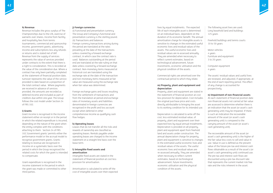

#### **h) Revenue**

Revenue includes the gross surplus of The Championships due to the LTA, exercise of warrants over shares, income from facility and hospitality fees from tennis tournaments, commercial and sponsorship income, government grants, advertising income and subscriptions less any refunds or returns and is stated net of VAT. Revenue from the supply of services represents the value of services provided under contracts to the extent that there is a right to consideration. This is recorded at the value of the consideration due. Where a contract has only been partially completed at the statement of financial position date, turnover represents the value of the service provided to date based on a proportion of the total contract value. Where payments are received in advance of services provided, the amounts are recorded as deferred income and included as part of creditors due within one year. The Group follows the cost model under Section 24 of FRS 102.

#### **i) Grants**

Grant income is recognised in the income statement either on receipt or in the period in which the related expenditure is incurred, depending on the nature of the grant when the entity complies with the conditions attaching to them. Section 24 of FRS 102,'Government grants' permits either the performance model or the accrual model to recognise government grants. Grants relating to revenue are recognised in income on a systematic basis over the period in which the Group recognised the related costs for which the grant is intended to compensate.

Grant expenditure is recognised in the income statement in the period in which the grant was made or committed to other third parties.

#### **j) Foreign currencies**

(i) Functional and presentation currency The Group and Company's functional and presentation currency is the sterling pound. (ii) Transactions and balances Foreign currency transactions arising during the period are translated at the rates prevailing at the date of the transactions unless covered by a forward exchange contract, in which case the contract rate is used. Balances outstanding at the period end are translated at the rate ruling on that date unless covered by a forward exchange contract. Non-monetary items measured at historical cost are translated using the exchange rate at the date of the transaction and non-monetary items measured at fair value are measured using the exchange rate when fair value was determined.

The following asset lives are used: Long leasehold land and buildings 125 years

Freehold buildings and tennis courts 10 to 50 years

Motor vehicles 4 years Furniture and equipment 3 to 20 years

Computer equipment 4 years

Foreign exchange gains and losses resulting from the settlement of transactions and from the translation at period-end exchange rates of monetary assets and liabilities denominated in foreign currencies are recognised in the profit and loss account except when deferred in other comprehensive income as qualifying cash flow hedges.

#### **k) Operating leases**

Leases that do not transfer all the risks and rewards of ownership are classified as operating leases. Rentals payable under operating leases are charged to the income statement on a straight line basis over the lease term.

#### **l) Intangible fixed assets and amortisation**

Intangible fixed assets are stated in the statement of financial position at cost less provision for amortisation.

Amortisation is calculated to write off the cost of intangible assets over their expected lives by equal instalments. The expected life of each intangible asset is determined on an individual basis, dependent on the duration of its economic benefit. The annual amortisation charge for intangible assets is sensitive to changes in the estimated useful economic lives and residual values of the assets. The useful economic lives and residual values are re-assessed annually. They are amended when necessary to reflect current estimates, based on technological advancement, future investments, economic utilisation and the physical condition of the assets.

Commercial rights are amortised over the contractual period to which they relate.

#### **m) Property, plant and equipment and depreciation**

Property, plant and equipment are stated in the statement of financial position at cost less provision for depreciation. Cost includes the original purchase price and costs directly attributable to bringing the asset to its working condition for its intended use.

Depreciation is calculated to write off the cost, less estimated residual value, of property, plant and equipment over their expected lives by equal annual instalments. Depreciation is provided on all property, plant and equipment apart from freehold land and assets under construction. The annual depreciation charge for property, plant and equipment is sensitive to changes in the estimated useful economic lives and residual values of the assets. The useful economic lives and residual values are re-assessed annually. They are amended when necessary to reflect current estimates, based on technological advancement, future investments, economic utilisation and the physical condition of the assets.

The assets' residual values and useful lives are reviewed, and adjusted, if appropriate, at the end of each reporting period. The effect of any change is accounted for prospectively.

## **n) Impairment of non-financial assets**

At each statement of financial position date non-financial assets not carried at fair value are assessed to determine whether there is an indication that the asset (or asset's cash generating unit) may be impaired. If there is such an indication the recoverable amount of the asset (or asset's cash generating unit) is compared to the carrying amount of the asset (or asset's cash generating unit).

The recoverable amount of the asset (or asset's cash generating unit) is the higher of the fair value less costs to sell and value in use. Value in use is defined as the present value of the future pre-tax and interest cash flows obtainable as a result of the asset's (or asset's cash generating unit) continued use. The pre-tax and interest cash flows are discounted using a pre-tax discount rate that represents the current market risk free rate and the risks inherent in the asset.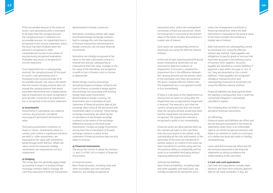

If the recoverable amount of the asset (or asset's cash generating unit) is estimated to be lower than the carrying amount, the carrying amount is reduced to its recoverable amount. An impairment loss is recognised in the income statement, unless the asset has been revalued when the amount is recognised in other comprehensive income to the extent of any previously recognised revaluation. Thereafter any excess is recognised in income statement.

If an impairment loss is subsequently reversed, the carrying amount of the asset (or asset's cash generating unit) is increased to the revised estimate of its recoverable amount, but only to the extent that the revised carrying amount does not exceed the carrying amount that would have been determined (net of depreciation) had no impairment loss been recognised in prior periods. A reversal of an impairment loss is recognised in the income statement.

#### **o) Investments**

Investments in subsidiaries are stated at cost less any provision considered necessary for permanent diminution in value.

Third party investments comprises of shares or stocks. Investments where no control, joint control or significant influence are held i.e. other investments, are measured at fair value with movements going through profit and loss. Where fair value cannot be measured reliably, investments are measured at cost less impairment.

#### **p) Hedging**

The Group does not generally apply hedge accounting in respect of forward foreign exchange contracts held to manage the cash flow exposures of forecast transactions denominated in foreign currencies.

Derivatives, including interest rate swaps and forward foreign exchange contracts held to manage the cash flow exposures of forecast transactions denominated in foreign currencies, are not basic financial instruments.

Derivatives are initially recognised at fair value on the date a derivative contract is entered into and are subsequently remeasured at their fair value. Changes in the fair value of the derivatives are recognised in profit or loss in finance costs or income as appropriate.

Where foreign currency borrowings (including forward exchange contracts) are used to finance or provide a hedge against the exchange risk associated with existing foreign fixed-asset investments denominated in foreign currency, the investments are re-translated at each statement of financial position date at the exchange rates ruling at the period end with movements taken to reserves. These foreign exchange movements are offset by the re-translation of the forward exchange contracts to the extent of the exchange differences arising on the fixed-asset investments. Foreign exchange movements arising from the re-translation of forward exchange contracts in place at the statement of financial position date are also taken to reserves.

#### **q) Financial instruments**

The Group has chosen to adopt the Sections 11 and 12 of FRS 102 in respect of financial instruments.

*(i) Financial assets* Basic financial assets, including trade and other receivables and cash and bank balances, are initially recognised at

Cash and cash equivalents includes bank balances and short term maturity deposits held at call. Bank overdrafts, if any, are

transaction price, unless the arrangement constitutes a financing transaction, where the transaction is measured at the present value of the future receipts discounted at a market rate of interest.

Such assets are subsequently carried at amortised cost using the effective interest method.

At the end of each reporting period financial assets measured at amortised cost are assessed for objective evidence of impairment. If an asset is impaired the impairment loss is the difference between the carrying amount and the present value of the estimated cash flows discounted at the asset's original effective interest rate. The impairment loss is recognised in profit or loss immediately.

If there is a decrease in the impairment loss arising from an event occurring after the impairment was recognised the impairment is reversed. The reversal is such that the current carrying amount does not exceed what the carrying amount would have been had the impairment not previously been recognised. The impairment reversal is recognised in profit or loss immediately.

Financial assets are derecognised when (a) the contractual rights to the cash flows from the asset expire or are settled, or (b) substantially all the risks and rewards of the ownership of the asset are transferred to another party or (c) control of the asset has been transferred to another party who has the practical ability to unilaterally sell the asset to an unrelated third party without imposing additional restrictions.

#### *(ii)Financial liabilities*

Basic financial liabilities, including trade and other payables and bank loans, are initially recognised at transaction price,

unless the arrangement constitutes a financing transaction, where the debt instrument is measured at the present value of the future receipts discounted at a market rate of interest.

Debt instruments are subsequently carried at amortised cost, using the effective interest rate method. Trade payables are obligations to pay for goods or services that have been acquired in the ordinary course of business from suppliers. Accounts payable are classified as current liabilities if payment is due within one year or less. If not, they are presented as non-current liabilities. Trade payables are recognised initially at transaction price and subsequently measured at amortised cost using the effective interest method.

Financial liabilities are derecognised when the liability is extinguished, that is when the contractual obligation is discharged, cancelled or expires.

The Company does not hold or issue derivative financial instruments.

#### *(iii) Offsetting*

Financial assets and liabilities are offset and the net amounts presented in the financial statements when there is an enforceable right to set off the recognised amounts and there is an intention to settle on a net basis or to realise the asset and settle to liability simultaneously.

Loans paid and received are offset and the net amounts presented in the financial statements as doing so enhance the understanding of the cash flows.

#### **r) Cash and cash equivalents**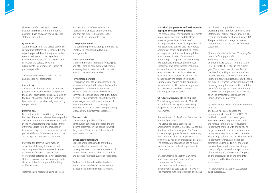

shown within borrowings in current liabilities on the statement of financial position. Cash and cash equivalents are stated at face value.

#### **s) Taxation**

Taxation expense for the period comprises current and deferred tax recognised in the reporting period. Taxation represents the amount estimated to be payable or recoverable in respect of the taxable profit or loss for the period, along with adjustments to estimates in respect of previous periods.

Current or deferred taxation assets and liabilities are not discounted.

#### Current tax:

Current tax is the amount of income tax payable in respect of the taxable profit for the year or prior years. Tax is calculated on the basis of tax rates and laws that have been enacted or substantively enacted by the period end.

#### Deferred tax:

Deferred tax arises from timing differences that are differences between taxable profits and total comprehensive income as stated in the financial statements. These timing differences arise from the inclusion of income and expenses in tax assessments in periods different from those in which they are recognised in financial statements.

Provision for deferred tax is made in respect of all timing differences that have originated but not reversed, by the statement of financial position date. The provision for deferred tax is not discounted. Deferred tax assets are only recognised to the extent that it is regarded that they will be recovered.

Deferred tax is measured using tax rates

and laws that have been enacted or substantively enacted by the year end and that are expected to apply to the reversal of the timing difference.

#### **t) Employee benefits**

The company provides a range of benefits to employees, including paid holiday arrangements.

#### Short term benefits:

Short term benefits, including holiday pay and other similar non-monetary benefits, are recognised as an expense in the period in which the service is received.

#### Termination benefits:

Termination benefits are recognised as an expense in the period in which the benefits are provided to the employees or are expensed and accrued when the Group has committed to make payments in the future. If there is an uncertainty about the number of employees who will accept an offer of termination benefits, the contingent liabilities is disclosed unless the possibility of an outflow in settlement is remote.

#### Pension costs:

Contributions payable to defined contribution schemes are charged to the income statement in the period to which they relate. There are no defined benefit pension obligations.

#### **u) Concessionary loans**

Concessionary loans made are initially measured at the amount paid. In subsequent years, the carrying amount of concessionary loans is adjusted to reflect any accrued interest payable or receivable.

To the extent that a loan that has been made is irrecoverable, an impairment loss is recognised in the income statement.

#### **v) Critical judgements and estimates in applying the accounting policy**

The preparation of the financial statements requires management and the Board to make judgements, estimates and assumptions that affect the application of the accounting policies and the reported amounts of assets and liabilities, income and expenses. Actual results may differ from these estimates. Estimates and underlying assumptions are continually evaluated and are based on historical experience and other factors, including expectations of future events that are reasonable under the circumstances. Revisions to accounting estimates are recognised in the period in which the estimates are revised and in any future periods affected. No material judgements and estimates have been made in the current year or prior period.

#### **w) Future amendments to FRS 102**

The following amendments to FRS 102 (issued in July 2015) have been early adopted by the Group in these financial statements.

*i) Amendments to Section 4: Statement of financial position:* The Group has early adopted the amendments to para 4.2 of FRS 102 for the first time in the current year. The Group has chosen to apply IFRS format in presenting

the Statement of financial position. The terminology has been changed as per IFRS. The presentational change has no such material impact in the Group's financial statements.

*ii) Amendments to Section 5: Income statement and statement of other comprehensive income:* The Group has early adopted the amendments to para 5.10 of FRS 102 for the first time in the current year. The Group has chosen to apply IFRS format in presenting the Statement of income and Statement of comprehensive income. The terminology has been changed as per IFRS. The presentational change has no such material impact in the Group's financial statements.

### *iii) Amendments to Section 18: Intangible assets including goodwill:*

The Group has early adopted the amendments to para 18.19 and 18.20 of FRS 102 for the first time in the current year. The amendments to para 18.19 clarifies if an entity is unable to make a reliable estimate of the useful life of an intangible asset, the useful life limit should not exceed ten years. As the Group does not have any intangible assets with indefinite useful life, the application of amendments has no material impact on the disclosures or on the amounts recognised in the Group's financial statements.

## *iv) Amendments to Section 27: Impairment of assets:*

The Group has early adopted the amendments to para 27.31 of FRS 102 for the first time in the current year. The amendments to para 27.31 clarify the removal of hierarchy for reversing impairment charges, with the entity no longer required to allocate the amount of impairment reversal in a particular order. This is largely due to the fact that goodwill impairment reversals are no longer permitted under FRS 102. As the Group does not have any impairment charges that qualify for reversal, the application of amendments has no material impact on the disclosures or on the amounts recognised in the Group's financial statements.

*v) Amendments to Section 33: Related party disclosures:*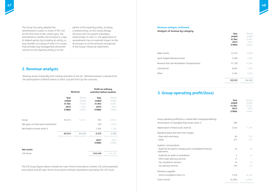

The Group has early adopted the amendments to para 33.2(viii) of FRS 102 for the first time in the current year. The amendments clarifies the increase in scope of related parties by including an entity, or any member of a group of which it is a part, that provides key management personnel services to the reporting entity or to the

parent of the reporting entity, as being a related entity. As the Group already discloses all of its parent-subsidiary relationships in note 21, the application of amendments has no material impact on the disclosures or on the amounts recognised in the Group's financial statements.

## **2. Revenue analysis**

Revenue arises materially from trading activities in the UK. Minimal revenue is earned from the participation of British teams in Davis Cup and Fed Cup ties overseas.

- Audit fee for audit of subsidiaries
- Other audit advisory services
- Tax compliance services
- Tax advisory services

|                                      | <b>Revenue</b> |        | Profit on ordinary<br>activities before taxation |                |
|--------------------------------------|----------------|--------|--------------------------------------------------|----------------|
|                                      | Year           | Period | Year                                             | Period         |
|                                      | ended          | ended  | ended                                            | ended          |
|                                      | 31 Dec         | 31 Dec | 31 Dec                                           | 31 Dec         |
|                                      | 2015           | 2014   | 2015                                             | 2014           |
|                                      | £'000s         | £'000s | £'000s                                           | £'000s         |
| Group                                | 63,515         | 64,345 | 781                                              | (3,002)        |
| Net gains on fixed asset investments |                |        | 329                                              | 2,802          |
| Net finance income (note 5)          |                |        | 1,262                                            | 1,526          |
|                                      | 63,515         | 64,345 | 2,372                                            | 1,326          |
|                                      |                |        | 2015<br>£'000s                                   | 2014<br>£'000s |
| <b>Net assets</b>                    |                |        |                                                  |                |
| LTA Group                            |                |        | 145,410                                          | 144,245        |

The LTA Group figures above include the Lawn Tennis Association Limited, LTA unincorporated association and all Lawn Tennis Association Limited subsidiaries (excluding The LTA Trust).

| Year<br>ended<br>31 Dec<br>2015<br>£'000s | Period<br>ended<br>31 Dec<br>2014<br>£'000s |
|-------------------------------------------|---------------------------------------------|
| 12,122                                    | 8,083                                       |
| 3,409                                     | 4,060                                       |
| 37,139                                    | 41,665                                      |
| 8,681                                     | 7,918                                       |
| 2,164                                     | 2,619                                       |
| 63,515                                    | 64,345                                      |
|                                           |                                             |

# **3. Group operating profit/(loss)**

|                                                                         | Year<br>ended<br>31 Dec<br>2015<br>£'000s | Period<br>Ended<br>31 Dec<br>2014<br>£'000s |
|-------------------------------------------------------------------------|-------------------------------------------|---------------------------------------------|
| Group operating profit/(loss) is stated after charging/(crediting):     |                                           |                                             |
| Amortisation of intangible fixed assets (note 7)                        | 260                                       |                                             |
| Depreciation of fixed assets (note 8)                                   | 2,343                                     | 3,339                                       |
| Operating lease and other hire charges:                                 |                                           |                                             |
| - Plant and machinery                                                   | 82                                        | 233                                         |
| - Other                                                                 | 275                                       | 354                                         |
| Auditors' remuneration:                                                 |                                           |                                             |
| - Audit fee for parent company and consolidated financial<br>statements | 43                                        | 49                                          |
| - Audit fee for audit of subsidiaries                                   | $\overline{c}$                            | 14                                          |
| - Other audit advisory services                                         | 17                                        |                                             |
| - Tax compliance services                                               | 54                                        | 54                                          |
| - Tax advisory services                                                 | 103                                       | 114                                         |
| Donations payable:                                                      |                                           |                                             |
| - Tennis Foundation (note 21)                                           | 7,076                                     | 10,330                                      |
| Grant income                                                            | (4,026)                                   | (4,820)                                     |
|                                                                         |                                           |                                             |

- Plant and machinery
- 

#### **Revenue analysis continued...**

**Analysis of revenue by category:**

Major events Sport England Revenue Grant Revenue from the Wimbledon Championships Commercial Other 2,619 2,619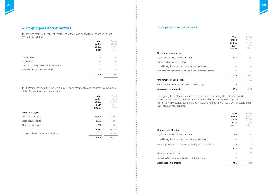

#### **Directors' remuneration**

Aggregate salaries and benefit in kind Compensation for loss of office Variable pay due under short term incentive schemes Company pension contributions to money purchase

#### **One-time relocation costs**

Compensation for international cost of living impact

|        | Year<br>ended<br>31 Dec<br>2015<br>£'000's | Period<br>ended<br>31 Dec<br>2014<br>£'000s |
|--------|--------------------------------------------|---------------------------------------------|
|        | 526                                        | 629                                         |
|        |                                            | 120                                         |
| S      | 75                                         | 224                                         |
| scheme | 33                                         | 47                                          |
|        | 634                                        | 1,020                                       |
|        |                                            | 190                                         |
|        | 40                                         |                                             |
|        | 674                                        | 1,210                                       |

#### **Aggregate emoluments 674 1,210**

The aggregate emoluments were paid to two directors employed for all or part of 2015 (2014: three). Variable pay is based upon personal objectives, agreed targets and performance measures. Retirement benefits are accruing to two (2014: two) directors under a money purchase scheme.

#### **Highest paid director**

Aggregate salaries and benefit in kind Variable pay due under short term incentive schemes Company pension contributions to money purchase

One-time relocation costs

Compensation for international cost of living impact

|        | Year<br>ended<br>31 Dec<br>2015<br>£'000's | Period<br>ended<br>31 Dec<br>2014<br>£'000s |
|--------|--------------------------------------------|---------------------------------------------|
|        | 309                                        | 323                                         |
| S      | 75                                         | 73                                          |
| scheme | 30                                         | 38                                          |
|        | 414                                        | 434                                         |
|        |                                            | 190                                         |
|        | 40                                         |                                             |
|        | 454                                        | 624                                         |

**Aggregate emoluments 454 624**

## **4. Employees and directors**

The average monthly number of employees of the Group during the year/period was 296 (2014: 294) as follows:

|                                        | Year   | Period |
|----------------------------------------|--------|--------|
|                                        | ended  | ended  |
|                                        | 31 Dec | 31 Dec |
|                                        | 2015   | 2014   |
|                                        |        |        |
| Participation                          | 104    | 108    |
| Performance                            | 48     | 58     |
| Commercial, major events and marketing | 57     | 42     |
| Business support and governance        | 87     | 86     |
|                                        | 296    | 294    |

#### **Employees and directors continued...**

The Company has no (2014: no) employees. The aggregate amounts payable to employees of the Group during the year/period were:

|                                           | Year    | Period   |
|-------------------------------------------|---------|----------|
|                                           | ended   | ended    |
|                                           | 31 Dec  | 31 Dec   |
|                                           | 2015    | 2014     |
|                                           | £'000's | £'000s   |
| <b>Group employees</b>                    |         |          |
| Wages and salaries                        | 13,276  | 15,865   |
| Social security costs                     | 1,537   | 1,867    |
| Other pension costs                       | 762     | 803      |
|                                           | 15,575  | 18,535   |
| Charge to the Tennis Foundation (note 21) | (2,670) | (3, 457) |
|                                           | 12,905  | 15,078   |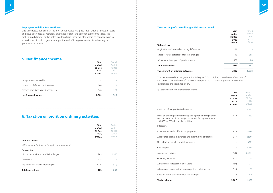| Year<br>ended<br>31 Dec<br>2015<br>£'000s | Period<br>ended<br>31 Dec<br>2014<br>£'000s |
|-------------------------------------------|---------------------------------------------|
| 197                                       |                                             |
| 46                                        | 205                                         |
| 839                                       | 86                                          |
| 1,082                                     | 291                                         |
| 1,207                                     | 1,578                                       |

#### **Deferred tax:**

Origination and reversal of timing differences

Effect of future corporation tax rate changes 46 **205**

Adjustment in respect of previous years

#### **10.82 10.82 10.82 20.8 20.9 20.9 20.9 20.9 20.9 20.9 20.9 20.9 20.9 20.9 20.9 20.9 20.9 20.9 20.9 20.9 20.9 20.9 20.9 20.9 20.9 20.9 20.9 20.9 20.9 20.9 20.9 2**

#### **Tax on profit on ordinary activities 1,207 1,578**

## **5. Net finance income**

|                                     | Year<br>ended<br>31 Dec<br>2015<br>£'000s | Period<br>Ended<br>31 Dec<br>2014<br>£'000s |
|-------------------------------------|-------------------------------------------|---------------------------------------------|
| Group interest receivable           | 14                                        | 28                                          |
| Interest on deferred consideration  | 300                                       | 375                                         |
| Income from fixed asset investments | 948                                       | 1,123                                       |
| Net finance income                  | 1,262                                     | 1,526                                       |

## **6. Taxation on profit on ordinary activities**

Profit on ordinary activities multiplied by standard co tax rate in the UK of 20.25% (2014: 21.8%) for large  $\epsilon$ 20% (2014: 20%) for smaller entities

| Year   | Period |
|--------|--------|
| ended  | ended  |
| 31 Dec | 31 Dec |
| 2015   | 2014   |
| £'000s | £'000s |
|        |        |
|        |        |
|        |        |
| 263    | 1,308  |
| 479    |        |
| (617)  | (21)   |
| 125    | 1,287  |
|        |        |

#### **Taxation on profit on ordinary activities continued...**

The tax assessed for the year/period is higher (2014: higher) than the standard rate of corporation tax in the UK of 20.25% average for the year/period (2014: 21.8%). The differences are explained below:

*b) Reconciliation of Group total tax charge*

Profit on ordinary activities before tax

|                            | Year<br>ended<br>31 Dec<br>2015<br>£'000s | Period<br>ended<br>31 Dec<br>2014<br>£'000s |
|----------------------------|-------------------------------------------|---------------------------------------------|
|                            | 2,372                                     | 1,326                                       |
| orporation<br>entities and | 479                                       | 269                                         |
|                            | 418                                       | 1,898                                       |
| erences                    | 217                                       | (250)                                       |
|                            |                                           | (55)                                        |
|                            |                                           | 1,683                                       |
|                            | (711)                                     | (2, 290)                                    |
|                            | 487                                       | 53                                          |
|                            | (324)                                     | (21)                                        |
| d tax                      | 595                                       | 86                                          |
|                            | 46                                        | 205                                         |
|                            | 1,207                                     | 1,578                                       |
|                            |                                           |                                             |

Effects of:

Expenses not deductible for tax purposes

Accelerated capital allowances and other timing differences

Utilisation of brought forward tax losses - **(55)**

Capital gains

Income not taxable

Other adjustments

Adjustments in respect of prior years

Adjustments in respect of previous periods - deferred

Effect of future corporation tax rate changes

**Tax tax charge** 

#### **Employees and directors continued...**

One-time relocation costs in the prior period relate to agreed international relocation costs and have been paid, as required, after deduction of the appropriate income taxes. The highest paid director participates in a long term incentive plan where he could earn up to a maximum of his first year's salary at the end of five years, subject to achieving set performance criteria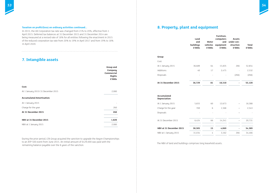

# **7. Intangible assets**

|                                    | Group and<br>Company<br><b>Commercial</b><br><b>Rights</b><br>£'000s |
|------------------------------------|----------------------------------------------------------------------|
| Cost:                              |                                                                      |
| At 1 January 2015/31 December 2015 | 2,080                                                                |
| <b>Accumulated Amortisation:</b>   |                                                                      |
| At 1 January 2015                  |                                                                      |
| Charge for the year                | 260                                                                  |
| At 31 December 2015                | 260                                                                  |
| NBV at 31 December 2015            | 1,820                                                                |
| NBV at 1 January 2015              | 2,080                                                                |

During the prior period, LTA Group acquired the sanction to upgrade the Aegon Championships to an ATP 500 event from June 2015. An initial amount of £429,000 was paid with the remaining balance payable over the 8 years of the sanction.

# **8. Property, plant and equipment**

|                                     | Land<br>and<br>buildings<br>£'000s | Motor<br>vehicles<br>£'000s | Furniture,<br>computers<br>and<br>equipment<br>£'000s | <b>Assets</b><br>under con-<br>struction<br>£'000s | <b>Total</b><br>£'000s |
|-------------------------------------|------------------------------------|-----------------------------|-------------------------------------------------------|----------------------------------------------------|------------------------|
| <b>Group</b>                        |                                    |                             |                                                       |                                                    |                        |
| Cost:                               |                                    |                             |                                                       |                                                    |                        |
| At 1 January 2015                   | 36,689                             | 64                          | 15,835                                                | 266                                                | 52,854                 |
| Additions                           | 40                                 | 17                          | 2,475                                                 |                                                    | 2,532                  |
| Disposals                           |                                    |                             |                                                       | (266)                                              | (266)                  |
| At 31 December 2015                 | 36,729                             | 81                          | 18,310                                                |                                                    | 55,120                 |
| <b>Accumulated</b><br>Depreciation: |                                    |                             |                                                       |                                                    |                        |
| At 1 January 2015                   | 5,655                              | 60                          | 12,673                                                |                                                    | 18,388                 |
| Charge for the year                 | 769                                | 6                           | 1,568                                                 |                                                    | 2,343                  |
| Disposals                           |                                    |                             |                                                       |                                                    |                        |
| At 31 December 2015                 | 6,424                              | 66                          | 14,241                                                |                                                    | 20,731                 |
| NBV at 31 December 2015             | 30,305                             | 15                          | 4,069                                                 |                                                    | 34,389                 |
| NBV at 1 January 2015               | 31,034                             | 4                           | 3,162                                                 | 266                                                | 34,466                 |

The NBV of land and buildings comprises long leasehold assets.

In 2015, the UK Corporation tax rate was changed from 21% to 20%, effective from 1 April 2015. Deferred tax balances at 31 December 2015 and 31 December 2014 are being measured at a revised rate of 18% for all entities following the enactment in 2015 of the reduced corporation tax rate from 20% to 19% in April 2017 and from 19% to 18% in April 2020.

#### **Taxation on profit/(loss) on ordinary activities continued...**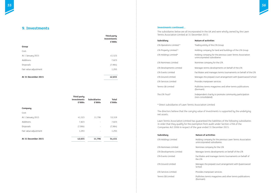

### **activities**

## **9. Investments**

|                       | <b>Third party</b><br>investments<br>£'000s |
|-----------------------|---------------------------------------------|
| <b>Group</b>          |                                             |
| Cost:                 |                                             |
| At 1 January 2015     | 41,523                                      |
| Additions             | 7,823                                       |
| Disposals             | (7,984)                                     |
| Fair value adjustment | 1,293                                       |
| At 31 December 2015   | 42,655                                      |

|                       | Third party<br>investments<br>£'000s | <b>Subsidiaries</b><br>£'000s | <b>Total</b><br>£'000s |
|-----------------------|--------------------------------------|-------------------------------|------------------------|
| Company               |                                      |                               |                        |
| Cost:                 |                                      |                               |                        |
| At 1 January 2015     | 41,523                               | 11,796                        | 53,319                 |
| Additions             | 7,823                                |                               | 7,823                  |
| Disposals             | (7,984)                              | $\overline{\phantom{a}}$      | (7,984)                |
| Fair value adjustment | 1,293                                | $\overline{\phantom{a}}$      | 1,293                  |
|                       |                                      |                               |                        |
| At 31 December 2015   | 42,655                               | 11,796                        | 54,451                 |

#### **Investments continued...**

The subsidiaries below are all incorporated in the UK and were wholly owned by the Lawn Tennis Association Limited at 31 December 2015:

- Itity of the LTA Group
- mpany for land and buildings of the LTA Group
- mpany for the previous Lawn Tennis Association rated subsidiaries
- company for the LTA
- ennis developments on behalf of the LTA
- and manages tennis tournaments on behalf of the LTA
- he prepaid court arrangement with Queenswood School
- hanpower services
- tennis magazines and other tennis publications
- Intertustive to promote community participation olidated)
- on Limited
- The directors believe that the carrying value of investments is supported by the underlying
- Lawn Tennis Association Limited has guaranteed the liabilities of the following subsidiaries

- mpany for the previous Lawn Tennis Association rated subsidiaries
- company for the LTA
- ennis developments on behalf of the LTA
- and manages tennis tournaments on behalf of
- he prepaid court arrangement with Queenswood
- nanpower services
- tennis magazines and other tennis publications

| <b>Subsidiary</b>                               | Nature of                 |
|-------------------------------------------------|---------------------------|
| LTA Operations Limited *                        | Trading ent               |
| LTA Property Limited *                          | Holding cor               |
| LTA Holdings Limited*                           | Holding cor<br>unincorpor |
| LTA Nominees Limited                            | Nominee c                 |
| LTA Developments Limited                        | Manages te                |
| LTA Events Limited                              | <b>Facilitates</b>        |
| LTA Ground Limited                              | Manages th                |
| LTA Services Limited                            | Provides m                |
| Tennis GB Limited                               | Publishes t<br>(Dormant)  |
| The LTA Trust*                                  | Independe<br>(non-consc   |
| * Direct subsidiaries of Lawn Tennis Associatio |                           |

net assets.

in order that they qualify for the exemption from audit under Section 479A of the Companies Act 2006 in respect of the year ended 31 December 2015.

| <b>Subsidiary</b>        | <b>Nature of activities</b>                  |
|--------------------------|----------------------------------------------|
| LTA Holdings Limited     | Holding company for<br>unincorporated subsi- |
| LTA Nominees Limited     | Nominee company fo                           |
| LTA Developments Limited | Manages tennis devel                         |
| LTA Events Limited       | Facilitates and mana<br>the LTA              |
| LTA Ground Limited       | Manages the prepaid<br>School                |
| LTA Services Limited     | Provides manpower s                          |
| Tennis GB Limited        | Publishes tennis mag<br>(Dormant)            |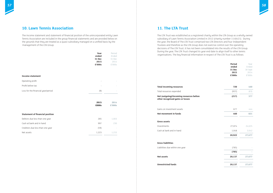

## **10. Lawn Tennis Association**

The income statement and statement of financial position of the unincorporated entity Lawn Tennis Association are included in the group financial statements and are provided below on the grounds that they are treated as a quasi-subsidiary managed on a unified basis by the management of the LTA Group.

|                                        | Year<br>ended<br>31 Dec<br>2015<br>£'000s | Period<br>Ended<br>31 Dec<br>2014<br>£'000s |
|----------------------------------------|-------------------------------------------|---------------------------------------------|
| <b>Income statement</b>                |                                           |                                             |
| Operating profit                       |                                           |                                             |
| Profit before tax                      |                                           |                                             |
| Loss for the financial year/period     | (9)                                       |                                             |
|                                        | 2015<br>£000s                             | 2014<br>£'000s                              |
| <b>Statement of financial position</b> |                                           |                                             |
| Debtors due less than one year         | 285                                       | 1,003                                       |
| Cash at bank and in hand               | 997                                       | 230                                         |
| Creditors due less than one year       | (59)                                      |                                             |
| Net assets                             | 1,223                                     | 1,233                                       |

## **11. The LTA Trust**

The LTA Trust was established as a registered charity within the LTA Group as a wholly owned subsidiary of Lawn Tennis Association Limited in 2012 (charity number 1148421). During the year, the Board of The LTA Trust comprised two LTA Directors and four Independent Trustees and therefore as the LTA Group does not exercise control over the operating decisions of The LTA Trust, it has not been consolidated into the results of the LTA Group. During the year, The LTA Trust changed its year end date to align itself to other tennis organisations. The key financial information in respect of The LTA Trust is as follows:

| Period | Year    |
|--------|---------|
| ended  | Ended   |
| 31 Dec | 30 Sept |
| 2015   | 2014    |
| £'000s | £'000s  |
|        |         |

#### **Total incoming resources 720 460**

#### Total resources expended

#### **Net (outgoing)/incoming resources before other recognised gains or losses**

#### Gains on investment assets

#### **Net movement in funds**

#### **Gross assets**

#### Investments

#### Cash at bank and in hand

| 720    | 460    |
|--------|--------|
| (937)  | (83)   |
| (217)  | 377    |
|        |        |
| 677    | 444    |
| 460    | 821    |
|        |        |
| 27,874 | 24,635 |
| 1,048  | 3,042  |
| 28,922 | 27,677 |
|        |        |
| (785)  |        |
| (785)  |        |

| 28,137 | 27,677 |
|--------|--------|
|        |        |
| 28,137 | 27,677 |

#### **Gross liabilities**

Liabilities due within one year

#### **Net assets**

#### **Unrestricted funds**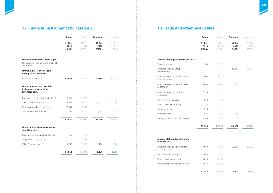

# **12. Financial instruments by category 13. Trade and other receivables**

|                                                                                                   | Group                    | Group                    | Company                  | Company                  |
|---------------------------------------------------------------------------------------------------|--------------------------|--------------------------|--------------------------|--------------------------|
|                                                                                                   | 31 Dec<br>2015<br>£'000s | 31 Dec<br>2014<br>£'000s | 31 Dec<br>2015<br>£'000s | 31 Dec<br>2014<br>£'000s |
| <b>Financial instruments by category</b><br>The Group has the following financial<br>instruments: |                          |                          |                          |                          |
| <b>Financial assets at fair value</b><br>through profit and loss:                                 |                          |                          |                          |                          |
| Investments (note 9)                                                                              | 42,655                   | 41,523                   | 42,655                   | 41,523                   |
| <b>Financial assets that are debt</b><br>instruments measured at<br>amortised cost:               |                          |                          |                          |                          |
| Trade and other receivables (note 13)                                                             | 1,365                    | 2,385                    |                          |                          |
| Other receivables (note 13)                                                                       | 58,071                   | 51,642                   | 98,422                   | 101,064                  |
| Concessionary loans (note 13)                                                                     | 7,894                    | 8,577                    |                          |                          |
| Cash at bank and in hand                                                                          | 14,294                   | 18,400                   | 3,624                    | 1,511                    |
|                                                                                                   | 81,624                   | 81,004                   | 102,046                  | 102,575                  |
| <b>Financial liabilities measured at</b><br>amortised cost:                                       |                          |                          |                          |                          |
| Trade and other payables (note 15)                                                                | 163                      | 125                      |                          |                          |
| Corporation tax (note 15)                                                                         |                          | 211                      |                          | 228                      |
| Other Payables (note 15)                                                                          | 14,798                   | 15,039                   | 1,176                    | 1,585                    |
|                                                                                                   | 14,961                   | 15,375                   | 1,176                    | 1,813                    |

| Group                    | Group                    | Company                  | Company                  |
|--------------------------|--------------------------|--------------------------|--------------------------|
| 31 Dec<br>2015<br>£'000s | 31 Dec<br>2014<br>£'000s | 31 Dec<br>2015<br>£'000s | 31 Dec<br>2014<br>£'000s |
|                          |                          |                          |                          |
| 1,365                    | 2,385                    |                          |                          |
|                          |                          | 83,389                   | 81,041                   |
| 24,900                   | 16,040                   |                          |                          |
| 5,000                    | 5,000                    | 5,000                    | 5,000                    |
| 1,534                    | 710                      |                          |                          |
| 1,296                    | 1,353                    |                          |                          |
| 178                      | 164                      |                          |                          |
| 516                      |                          |                          |                          |
| 1,587                    | 835                      | 30                       | 23                       |
| 3,169                    | 2,081                    | 3                        |                          |
| 39,545                   | 28,568                   | 88,422                   | 86,064                   |
|                          |                          |                          |                          |

| Amounts falling due after more<br>than one year:   |        |        |        |        |
|----------------------------------------------------|--------|--------|--------|--------|
| Amounts owed by AELTC for the<br>sale of AELTG (i) | 10.000 | 15.000 | 10.000 | 15.000 |
| Concessionary loans (ii)                           | 6.598  | 7.224  |        |        |
| Tennis developments (iii)                          | 3.630  | 3.769  |        |        |
| Prepayments and accrued income                     | 7.557  | 8.043  |        |        |
|                                                    | 27,785 | 34,036 | 10,000 | 15,000 |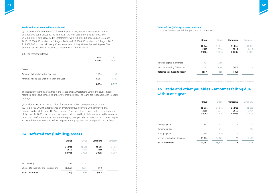

#### **Trade and other receivables continued...**

(i) The book profit from the sale of AELTG was £32,126,000 with the consideration of £55,000,000 being offset by the interest in the joint venture of £22,874,000. The £55,000,000 is being received in instalments, with £30,000,000 received on 1 August 2013, £5,000,000 received on 1 August 2014 and £5,000,000 received on 1 August 2015. £15,000,000 is to be paid in equal instalments on 1 August over the next 3 years. The amount has not been discounted, as discounting is not material.

#### (ii) Concessionary loans

|                                              | 2015   | 2014   |
|----------------------------------------------|--------|--------|
|                                              | £'000s | £'000s |
|                                              |        |        |
| Group                                        |        |        |
| Amounts falling due within one year          | 1,296  | 1,353  |
| Amounts falling due after more than one year | 6,598  | 7,224  |
|                                              | 7,894  | 8,577  |

The loans represent interest free loans issued by LTA Operations Limited to clubs, indoor facilities, parks and schools to improve tennis facilities. The loans are repayable over 10 years or longer.

(iii) Included within amounts falling due after more than one year is £3,630,000 (2014: £3,769,000) that represents an amount repayable over a 20 year period, that commenced in 2005, from The West Hants LTC for loans that assisted with the development of the club. In 2006 a moratorium was agreed, deferring the instalments due in the calendar years 2007 and 2008, thus extending the repayment period to 22 years. In 2010 it was agreed to extend the repayment period to 30 years and repayments are being made on this basis.

## **14. Deferred tax (liability)/assets**

|                                        | <b>Group</b>             | Group                    | Company                  | Company                  |
|----------------------------------------|--------------------------|--------------------------|--------------------------|--------------------------|
|                                        | 31 Dec<br>2015<br>£'000s | 31 Dec<br>2014<br>£'000s | 31 Dec<br>2015<br>£'000s | 31 Dec<br>2014<br>£'000s |
| At 1 January                           | 965                      | 1,256                    | $\overline{\phantom{a}}$ |                          |
| Charged to the profit and loss account | (1,082)                  | (291)                    | (593)                    |                          |
| At 31 December                         | (117)                    | 965                      | (593)                    | ×.                       |

#### **Deferred tax (liability)/assets continued...**

The gross deferred tax liability (2014: asset) comprises:

|                                | Group                    | Group                    | Company                  | Company                  |
|--------------------------------|--------------------------|--------------------------|--------------------------|--------------------------|
|                                | 31 Dec<br>2015<br>£'000s | 31 Dec<br>2014<br>£'000s | 31 Dec<br>2015<br>£'000s | 31 Dec<br>2014<br>£'000s |
| Deferred capital allowances    | 474                      | 1,569                    | $\overline{\phantom{a}}$ |                          |
| Short term timing differences  | (591)                    | (604)                    | (593)                    |                          |
| Deferred tax (liability)/asset | (117)                    | 965                      | (593)                    | ×.                       |
|                                |                          |                          |                          |                          |

## **15. Trade and other payables - amounts falling due within one year**

|                              | Group                    | Group                    | Company                  | Company                  |
|------------------------------|--------------------------|--------------------------|--------------------------|--------------------------|
|                              | 31 Dec<br>2015<br>£'000s | 31 Dec<br>2014<br>£'000s | 31 Dec<br>2015<br>£'000s | 31 Dec<br>2014<br>£'000s |
| Trade payables               | 163                      | 125                      |                          |                          |
| Corporation tax              |                          | 211                      |                          | 228                      |
| Other payables               | 1,694                    | 870                      |                          |                          |
| Accruals and deferred income | 13,104                   | 14,169                   | 1,176                    | 1,585                    |
| At 31 December               | 14,961                   | 15,375                   | 1,176                    | 1,813                    |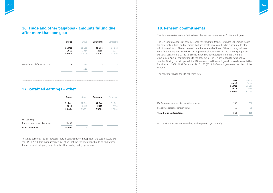

## **16. Trade and other payables - amounts falling due after more than one year**

| Group  | Group  | Company | Company |
|--------|--------|---------|---------|
| 31 Dec | 31 Dec | 31 Dec  | 31 Dec  |
| 2015   | 2014   | 2015    | 2014    |
| £'000s | £'000s | £'000s  | £'000s  |
| ۰      | 418    | ۰       |         |
| ۰      | 418    | ۰       |         |
|        |        |         |         |

## **17. Retained earnings – other**

|                                 | <b>Group</b>             | Group          | Company        | Company        |
|---------------------------------|--------------------------|----------------|----------------|----------------|
|                                 | 31 Dec<br>2015           | 31 Dec<br>2014 | 31 Dec<br>2015 | 31 Dec<br>2014 |
|                                 | £'000s                   | £'000s         | £'000s         | £'000s         |
|                                 |                          |                |                |                |
| At 1 January                    | $\overline{\phantom{a}}$ | ۰              | -              |                |
| Transfer from retained earnings | 25,000                   |                |                |                |
| At 31 December                  | 25,000                   | ÷              | -              |                |

Retained earnings - other represents future consideration in respect of the sale of AELTG by the LTA in 2013. It is management's intention that the consideration should be ring fenced for investment in legacy projects rather than in day to day operations.

## **18. Pension commitments**

The Group operates various defined contribution pension schemes for its employees:

The LTA Group Money Purchase Personal Pension Plan (Money Purchase Scheme) is closed for new contributions and members, but has assets which are held in a separate trustee administered fund. The trustees of the scheme are all officers of the Company. All new contributions are paid into the LTA Group Personal Pension Plan ('the scheme') or private personal pension plans. The scheme is funded by contributions from the LTA and its employees. Annual contributions to the scheme by the LTA are related to pensionable salaries. During the prior period, the LTA auto enrolled its employees in accordance with the Pensions Act 2008. At 31 December 2015, 275 (2014: 243) employees were members of the scheme.

The contributions to the LTA schemes were:

LTA Group personal pension plan (the scheme) LTA private personal pension plans

| Year<br>ended<br>31 Dec<br>2015<br>£'000s | Period<br>Ended<br>31 Dec<br>2014<br>£'000s |
|-------------------------------------------|---------------------------------------------|
| 746                                       | 738                                         |
| 16                                        | 65                                          |
| 762                                       | 803                                         |

**Total Group contributions 762 803**

No contributions were outstanding at the year end (2014: £nil)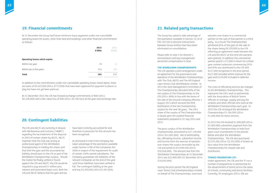

## **19. Financial commitments**

At 31 December the Group had future minimum lease payments under non-cancellable operating leases for assets, other than land and buildings, and other financial commitments as follows:

|                                       | 2015<br>£'000s | 2014<br>£'000s |
|---------------------------------------|----------------|----------------|
| <b>Operating leases which expire:</b> |                |                |
|                                       |                |                |
| Within one year                       | 70             | 14             |
| Within two to five years              | 314            | 223            |
| <b>Total</b>                          | 384            | 237            |

In addition to the commitments under non-cancellable operating leases noted above, there are loans of £2,423,000 (2014: £773,000) that have been approved for payment to places to play but have not yet been paid out.

At 31 December 2015 the LTA has forward exchange commitments of \$Nil (2014: \$2,108,000) with a fair-value loss of £Nil (2014: £9,700 loss) at the year-end exchange rate.

## **20. Contingent liabilities**

The LTA and AELTC are currently in dispute with HM Revenue and Customs ("HMRC") regarding the tax treatment of the disposal in 2003 of certain shares by AELTC. AELTC maintain that the Club was acting as undisclosed agent of the Wimbledon Championships in holding the shares and that both the gain and the associated tax liability should pass to the LTA as part of the Wimbledon Championships surplus. Should the matter be finally settled or found against the LTA and AELTC, the LTA would be required to pay around £1 million plus interest and associated legal costs. Both the LTA and AELTC believe that the gain and tax

have been correctly accounted for and therefore no provision for this amount has been recognised.

As disclosed in note 9 the Company has taken advantage of the exemption available under Section 479A of the Companies Act 2006 in respect of the requirement for audit of certain 100% owned subsidiaries. The Company guarantees the liabilities of the relevant companies at the end of the year until those liabilities have been settled in full. The contingent liability at the year end was £3,393,000 (2014:£1,925,000).

The Group has opted to take advantage of the exemption available in Section 33.1A of FRS 102 not to disclose transactions between Group entities that have been eliminated on consolidation.

Please refer to note 4 for director's remuneration and key management personnel compensation in total.

#### **THE WIMBLEDON CHAMPIONSHIPS**

The LTA operates a joint arrangement under an agreement for the governance and operation of the Wimbledon Championships with The Club, AELTG and The All England Lawn Tennis Club (Wimbledon) Limited. In 2015 the Joint Management Committee of The Championships allocated 90% of the net surplus of The Championships to the LTA (2014: 90%) in line with the terms of the sale of the Ground Company effective 1 August 2013 which secured the 90% distribution of the net Championship surplus for the next 38 years. The LTA's share of the surplus of The Championships is based upon the audited financial statements prepared to 31 July 2014 and 2015.

The gross surplus of the Wimbledon Championships amounted to £37,139,000 (2014: £41,665,000). Net of withholding tax, officiating income, subvention income and income from the exercise of warrants over shares the surplus receivable by the LTA amounted to £33,900,000 (2014: £32,048,000). The amount due from the Wimbledon Championships at 31 December 2015 was £24,900,000 (31 December 2014: £16,040,000).

During the prior period The All England Lawn Tennis Club (Championships) Limited on behalf of The Championships, exercised warrants over shares in a commercial partner on the sale of that partner to a third party. As a result The Championships attributed 85% of the gain on the sale of the shares being £6,329,000 to the LTA reflecting an agreement made between the LTA and the AELTC at the time the warrants were granted. In addition the commercial partner paid £1,475,000 in return for a three year contract extension commencing 2014 and 85% was distributed to the LTA with £417,000 recognised in the prior period, £417,000 included within revenue for the year and £419,000 included in deferred income.

The costs of officiating services are charged to the Wimbledon Championships. This represents the LTA's work in partnership with the Association of British Tennis Officials to manage, supply and pay the umpires and other officials who work at the Wimbledon Championships each year. In 2015 the LTA recharged the Wimbledon Championships £1,184,000 (2014: £1,006,000) for these services.

In 2015 the LTA received £1,000,000 (2014: £1,000,000) subvention payment from the Wimbledon Championships to help fund grass-court tournaments in the periods before and after the Wimbledon Championships. The LTA also purchased £2,331,000 (2014: £2,325,000) of tickets at face value from the Wimbledon Championships for onward sale and distribution.

#### **TENNIS FOUNDATION (TF)**

Under agreement, the LTA and the TF run a number of programmes in partnership for the advancement of tennis across the areas of schools, community and tennis facilities. Currently, 95 employees (2014: 89) are

## **21. Related party transactions**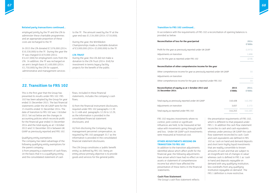

#### **Related party transactions continued... Transition to FRS 102 continued... Transition to FRS 102 continued...**

employed jointly by the TF and the LTA to administer these charitable programmes and an appropriate proportion of these costs are recharged to the TF.

In 2015 the LTA donated £7,076,000 (2014: £10,330,000) to the TF. During the year the TF was charged £2,670,000 (2014: £3,457,000) for employment costs from the LTA. In addition, the TF was recharged on an arm's length basis £1,400,000 (2014: £1,750,000) by the LTA for support, administrative and management services

to the TF. The amount owed by the TF at the year-end was £1,534,000 (2014: £710,000).

During the year, the Wimbledon Championships made a charitable donation of £3,000,000 (2014: £3,000,000) to the TF.

#### **LTA TRUST**

During the year, the LTA did not make a donation to the LTA Trust (2014: £nil) for investment in tennis legacy facility projects for the benefit of the public.

## **22. Transition to FRS 102**

This is the first year that the Group has presented its results under FRS 102. FRS 102 has been adopted bu the Group for year ended 31 December 2015. The last financial statements under the UK GAAP were for the 15 months ended 31 December 2014. The date of transition to FRS 102 was 1 October 2013. Set out below are the changes in accounting policies which reconcile profit for the financial year ended 31 December 2014 and the total equity as at 1 October 2013 and 31 December 2014 between UK GAAP as previously reported and FRS 102.

#### **Reconciliation of equity as at 1 October 2013 and 31 December 2014**

Total equity as previously reported under UK GAAP

Adjustments on transition

Total equity as reported under FRS 102

Qualifying entity exemptions The company has taken advantage of the following qualifying entity exemptions for the parent company:

i) from preparing a statement of cash flows, on the basis that it is a qualifying entity and the consolidated statement of cash

flows, included in these financial statements, includes the company's cash flows;

ii) from the financial instrument disclosures, required under FRS 102 paragraphs 11.39 to 11.48A and paragraphs 12.26 to 12.29, as the information is provided in the consolidated financial statement disclosures; and

iii) from disclosing the Company's key management personnel compensation, as required by FRS 102 paragraph 33.7 as the information is provided in the consolidated financial statement disclosures.

The LTA Group constitutes a 'public benefit entity' as defined by FRS 102, being an entity whose primary objective is to provide goods and services for the general public.

In accordance with the requirements of FRS 102 a reconciliation of opening balances is provided as below:

#### **Reconciliation of loss for the year/period 2014**

Profit for the year as previously reported under UK GA

Adjustments on transition

Loss for the year as reported under FRS 102

#### **Reconciliation of other comprehensive income for**

Other comprehensive income for year as previously

|                        |                | 2014<br>£'000s |
|------------------------|----------------|----------------|
| AAP                    |                | (1, 971)       |
|                        |                | 1,698          |
|                        |                | (219)          |
| or the year            |                |                |
| reported under UK GAAP |                | 33             |
|                        |                |                |
| d under FRS 102        |                | 33             |
| d                      | 2015<br>£'000s | 2014<br>£'000s |
|                        | 140,408        | 142,292        |
|                        | 3,837          | 2,173          |
|                        | 144,245        | 144,465        |
|                        |                |                |

Adjustments on transition -

Other comprehensive income for the year as reported

FRS 102 requires investments where no control, joint control or significant influences are held, to be measured at fair value with movements going through profit and loss. Under UK GAAP such investments were measured at historical cost.

#### **OTHER ADJUSTMENTS ARISING ON TRANSITION TO FRS 102**

In addition to the transition adjustments identified above which affect profit for the financial year, the following adjustments have arisen which have had no effect on net assets or statement of comprehensive income but which have affected the presentation of these items in the financial statements.

#### **Cash Flow Statement**

The Group's cash flow statement reflects

the presentation requirements of FRS 102, which is different to that prepared under FRS 1. In addition the cash flow statement reconciles to cash and cash equivalents whereas under previous UK GAAP the cash flow statement reconciled to cash. Cash and cash equivalents are defined in FRS 102 as 'cash on hand and demand deposits and short term highly liquid investments that are readily convertible to known amounts of cash and that are subject to an insignificant risk of changes in value' whereas cash is defined in FRS 1 as 'cash in hand and deposits repayable on demand with any qualifying institution, less overdrafts from any qualifying institution repayable on demand'. The FRS 1 definition is more restrictive.